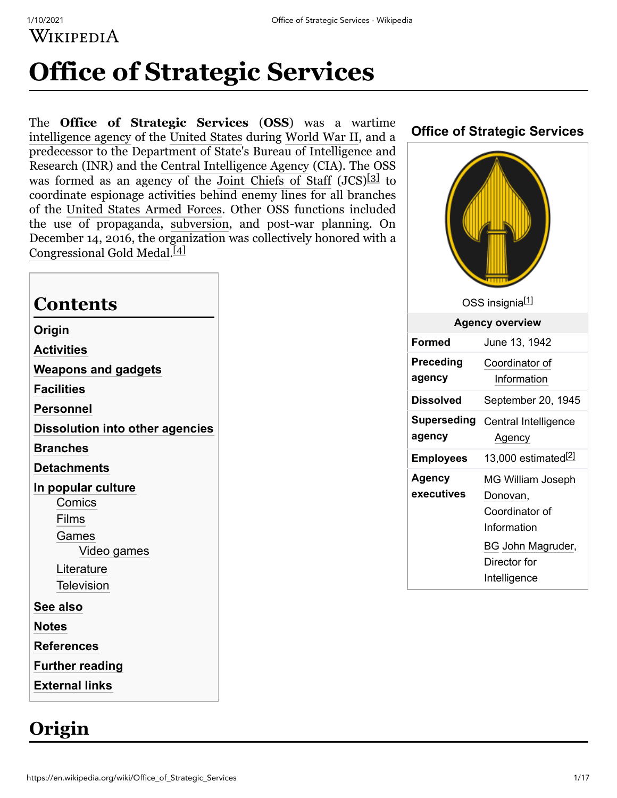WIKIPEDIA

# **Office of Strategic Services**

The **Office of Strategic Services** (**OSS**) was a wartime [intelligence agency](https://en.wikipedia.org/wiki/Intelligence_agency) of the [United States](https://en.wikipedia.org/wiki/United_States) during [World War II](https://en.wikipedia.org/wiki/World_War_II), and a predecessor to the Department of State's Bureau of Intelligence and Research (INR) and the [Central Intelligence Agency](https://en.wikipedia.org/wiki/Central_Intelligence_Agency) (CIA). The OSS was formed as an agency of the [Joint Chiefs of Staff](https://en.wikipedia.org/wiki/Joint_Chiefs_of_Staff) (JCS)<sup>[\[3\]](#page-10-2)</sup> to coordinate espionage activities behind enemy lines for all branches of the [United States Armed Forces](https://en.wikipedia.org/wiki/United_States_Armed_Forces). Other OSS functions included the use of propaganda, [subversion](https://en.wikipedia.org/wiki/Subversion), and post-war planning. On December 14, 2016, the organization was collectively honored with a [Congressional Gold Medal](https://en.wikipedia.org/wiki/Congressional_Gold_Medal).<sup>[\[4\]](#page-10-3)</sup>

#### **Contents**

**[Origin](#page-0-0) [Activities](#page-1-0) [Weapons and gadgets](#page-3-0) [Facilities](#page-4-0) [Personnel](#page-5-0) [Dissolution into other agencies](#page-7-0) [Branches](#page-7-1) [Detachments](#page-7-2) [In popular culture](#page-8-0) [Comics](#page-8-1)** [Films](#page-8-2) [Games](#page-9-0) [Video games](#page-9-1) **[Literature](#page-9-2) [Television](#page-9-3) [See also](#page-10-4) [Notes](#page-10-5) [References](#page-10-6) [Further reading](#page-14-0) [External links](#page-16-0)**

## <span id="page-0-0"></span>**Origin**



# **Office of Strategic Services**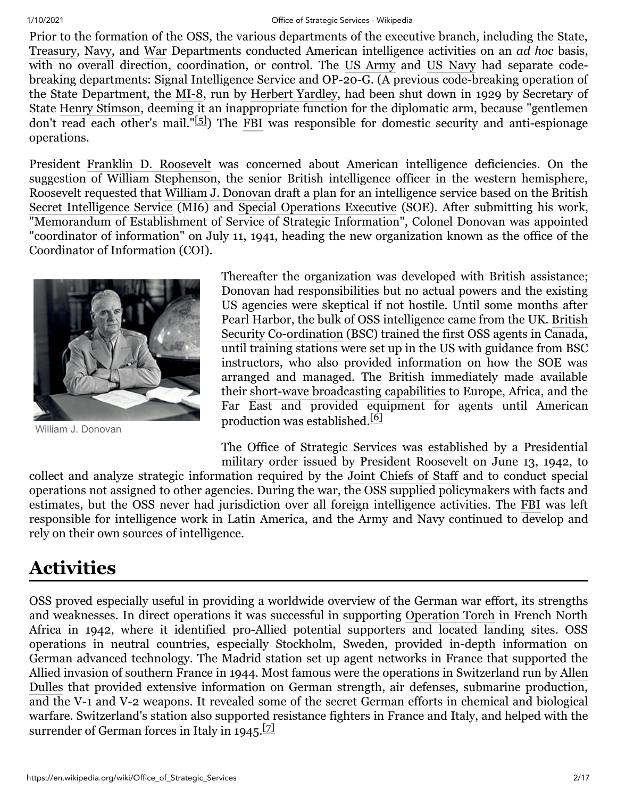#### 1/10/2021 Office of Strategic Services - Wikipedia

Prior to the formation of the OSS, the various departments of the executive branch, including the [State](https://en.wikipedia.org/wiki/United_States_Department_of_State), [Treasury](https://en.wikipedia.org/wiki/United_States_Department_of_the_Treasury), [Navy,](https://en.wikipedia.org/wiki/United_States_Department_of_the_Navy) and [War](https://en.wikipedia.org/wiki/United_States_Department_of_War) Departments conducted American intelligence activities on an *ad hoc* basis, with no overall direction, coordination, or control. The [US Army](https://en.wikipedia.org/wiki/United_States_Army) and [US Navy](https://en.wikipedia.org/wiki/United_States_Navy) had separate codebreaking departments: [Signal Intelligence Service](https://en.wikipedia.org/wiki/Signal_Intelligence_Service) and [OP-20-G.](https://en.wikipedia.org/wiki/OP-20-G) (A previous code-breaking operation of the State Department, the [MI-8](https://en.wikipedia.org/wiki/Black_Chamber), run by [Herbert Yardley,](https://en.wikipedia.org/wiki/Herbert_Yardley) had been shut down in 1929 by Secretary of State [Henry Stimson](https://en.wikipedia.org/wiki/Henry_Stimson), deeming it an inappropriate function for the diplomatic arm, because "gentlemen don't read each other's mail."[\[5\]](#page-10-7)) The [FBI](https://en.wikipedia.org/wiki/FBI) was responsible for domestic security and anti-espionage operations.

President [Franklin D. Roosevelt](https://en.wikipedia.org/wiki/Franklin_D._Roosevelt) was concerned about American intelligence deficiencies. On the suggestion of [William Stephenson,](https://en.wikipedia.org/wiki/William_Stephenson) the senior British intelligence officer in the western hemisphere, Roosevelt requested that [William J. Donovan](https://en.wikipedia.org/wiki/William_J._Donovan) draft a plan for an intelligence service based on the British [Secret Intelligence Service](https://en.wikipedia.org/wiki/Secret_Intelligence_Service) (MI6) and [Special Operations Executive](https://en.wikipedia.org/wiki/Special_Operations_Executive) (SOE). After submitting his work, "Memorandum of Establishment of Service of Strategic Information", Colonel Donovan was appointed "coordinator of information" on July 11, 1941, heading the new organization known as the office of the Coordinator of Information (COI).



William J. Donovan

Thereafter the organization was developed with British assistance; Donovan had responsibilities but no actual powers and the existing US agencies were skeptical if not hostile. Until some months after [Pearl Harbor, the bulk of OSS intelligence came from the UK. British](https://en.wikipedia.org/wiki/British_Security_Co-ordination) Security Co-ordination (BSC) trained the first OSS agents in Canada, until training stations were set up in the US with guidance from BSC instructors, who also provided information on how the SOE was arranged and managed. The British immediately made available their [short-wave broadcasting capabilities](https://en.wikipedia.org/wiki/Aspidistra_(transmitter)) to Europe, Africa, and the Far East and provided equipment for agents until American production was established.[\[6\]](#page-10-8)

The Office of Strategic Services was established by a Presidential military order issued by President Roosevelt on June 13, 1942, to

collect and analyze strategic information required by the [Joint Chiefs of Staff](https://en.wikipedia.org/wiki/Joint_Chiefs_of_Staff) and to conduct special operations not assigned to other agencies. During the war, the OSS supplied policymakers with facts and estimates, but the OSS never had jurisdiction over all foreign intelligence activities. The [FBI](https://en.wikipedia.org/wiki/Federal_Bureau_of_Investigation) was left responsible for intelligence work in Latin America, and the Army and Navy continued to develop and rely on their own sources of intelligence.

# <span id="page-1-0"></span>**Activities**

OSS proved especially useful in providing a worldwide overview of the German war effort, its strengths and weaknesses. In direct operations it was successful in supporting [Operation Torch](https://en.wikipedia.org/wiki/Operation_Torch) in French North Africa in 1942, where it identified pro-Allied potential supporters and located landing sites. OSS operations in neutral countries, especially Stockholm, Sweden, provided in-depth information on German advanced technology. The Madrid station set up agent networks in France that supported the [Allied invasion of southern France in 1944. Most famous were the operations in Switzerland run by Allen](https://en.wikipedia.org/wiki/Allen_Dulles) Dulles that provided extensive information on German strength, air defenses, submarine production, and the V-1 and V-2 weapons. It revealed some of the secret German efforts in chemical and biological warfare. Switzerland's station also supported resistance fighters in France and Italy, and helped with the surrender of German forces in Italy in  $1945$ .<sup>[\[7\]](#page-10-9)</sup>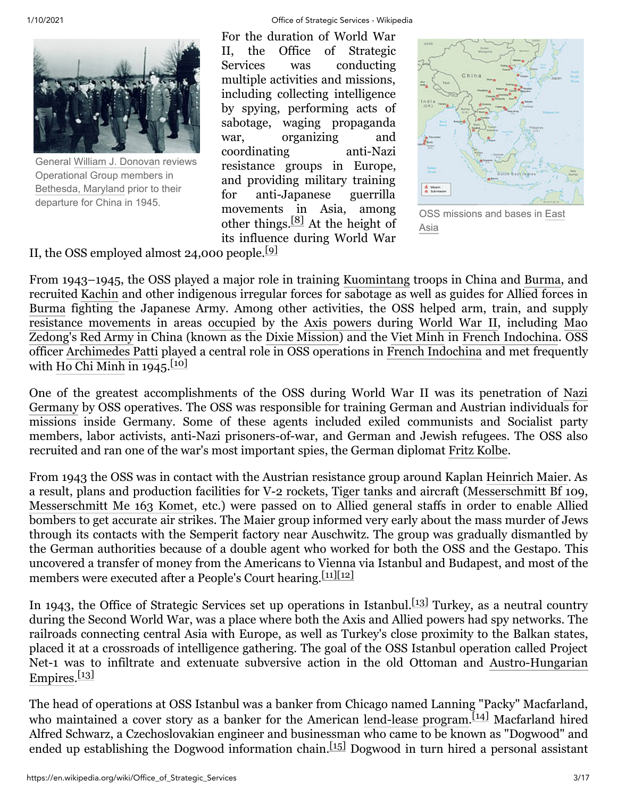

General William J. [Donovan](https://en.wikipedia.org/wiki/William_J._Donovan) reviews Operational Group members in [Bethesda,](https://en.wikipedia.org/wiki/Bethesda,_Maryland) Maryland prior to their departure for China in 1945.

1/10/2021 Office of Strategic Services - Wikipedia

For the duration of World War II, the Office of Strategic Services was conducting multiple activities and missions, including collecting intelligence by spying, performing acts of sabotage, waging propaganda war, organizing and coordinating anti-Nazi resistance groups in Europe, and providing military training for anti-Japanese guerrilla movements in Asia, among other things. $[8]$  At the height of its influence during World War



OSS [missions](https://en.wikipedia.org/wiki/East_Asia) and bases in East Asia

II, the OSS employed almost 24,000 people.[\[9\]](#page-10-11)

From 1943–1945, the OSS played a major role in training [Kuomintang](https://en.wikipedia.org/wiki/Kuomintang) troops in China and [Burma,](https://en.wikipedia.org/wiki/Burma) and recruited [Kachin](https://en.wikipedia.org/wiki/Jingpo_people) and other indigenous irregular forces for sabotage as well as guides for Allied forces in [Burma](https://en.wikipedia.org/wiki/China_Burma_India_Theater_of_World_War_II) fighting the Japanese Army. Among other activities, the OSS helped arm, train, and supply [resistance movements](https://en.wikipedia.org/wiki/Resistance_movement) in areas [occupied](https://en.wikipedia.org/wiki/Military_occupation) by the [Axis powers](https://en.wikipedia.org/wiki/Axis_powers) [during W](https://en.wikipedia.org/wiki/Mao_Zedong)[orld War II](https://en.wikipedia.org/wiki/World_War_II)[, including Mao](https://en.wikipedia.org/wiki/Mao_Zedong) Zedong's [Red Army](https://en.wikipedia.org/wiki/People%27s_Liberation_Army) in China (known as the [Dixie Mission](https://en.wikipedia.org/wiki/Dixie_Mission)) and the [Viet Minh](https://en.wikipedia.org/wiki/Viet_Minh) in [French Indochina](https://en.wikipedia.org/wiki/French_Indochina). OSS officer [Archimedes Patti](https://en.wikipedia.org/wiki/Archimedes_Patti) played a central role in OSS operations in [French Indochina](https://en.wikipedia.org/wiki/French_Indochina) and met frequently with [Ho Chi Minh](https://en.wikipedia.org/wiki/Ho_Chi_Minh) in  $1945$ . [\[10\]](#page-11-0)

[One of the greatest accomplishments of the OSS during World War II was its penetration of Nazi](https://en.wikipedia.org/wiki/Nazi_Germany) Germany by OSS operatives. The OSS was responsible for training German and Austrian individuals for missions inside Germany. Some of these agents included exiled communists and Socialist party members, labor activists, anti-Nazi prisoners-of-war, and German and Jewish refugees. The OSS also recruited and ran one of the war's most important spies, the German diplomat [Fritz Kolbe.](https://en.wikipedia.org/wiki/Fritz_Kolbe)

From 1943 the OSS was in contact with the Austrian resistance group around Kaplan [Heinrich Maier.](https://en.wikipedia.org/wiki/Heinrich_Maier) As a result, plans and production facilities for [V-2 rockets](https://en.wikipedia.org/wiki/V-2_rocket), [Tiger tanks](https://en.wikipedia.org/wiki/Tiger_tank) and aircraft [\(Messerschmitt Bf 109](https://en.wikipedia.org/wiki/Messerschmitt_Bf_109), [Messerschmitt Me](https://en.wikipedia.org/wiki/Messerschmitt_Me_163_Komet) 163 Komet, etc.) were passed on to Allied general staffs in order to enable Allied bombers to get accurate air strikes. The Maier group informed very early about the mass murder of Jews through its contacts with the Semperit factory near Auschwitz. The group was gradually dismantled by the German authorities because of a double agent who worked for both the OSS and the Gestapo. This uncovered a transfer of money from the Americans to Vienna via Istanbul and Budapest, and most of the members were executed after a People's Court hearing.<sup>[\[11\]](#page-11-1)[\[12\]](#page-11-2)</sup>

In 1943, the Office of Strategic Services set up operations in Istanbul.<sup>[\[13\]](#page-11-3)</sup> Turkey, as a neutral country during the Second World War, was a place where both the Axis and Allied powers had spy networks. The railroads connecting central Asia with Europe, as well as Turkey's close proximity to the Balkan states, placed it at a crossroads of intelligence gathering. The goal of the OSS Istanbul operation called Project [Net-1 was to infiltrate and extenuate subversive action in the old Ottoman and Austro-Hungarian](https://en.wikipedia.org/wiki/Austro-Hungarian_Empire) Empires.<sup>[\[13\]](#page-11-3)</sup>

The head of operations at OSS Istanbul was a banker from Chicago named Lanning "Packy" Macfarland, who maintained a cover story as a banker for the American [lend-lease program.](https://en.wikipedia.org/wiki/Lend-lease_program)<sup>[\[14\]](#page-11-4)</sup> Macfarland hired Alfred Schwarz, a Czechoslovakian engineer and businessman who came to be known as "Dogwood" and ended up establishing the Dogwood information chain.<sup>[\[15\]](#page-11-5)</sup> Dogwood in turn hired a personal assistant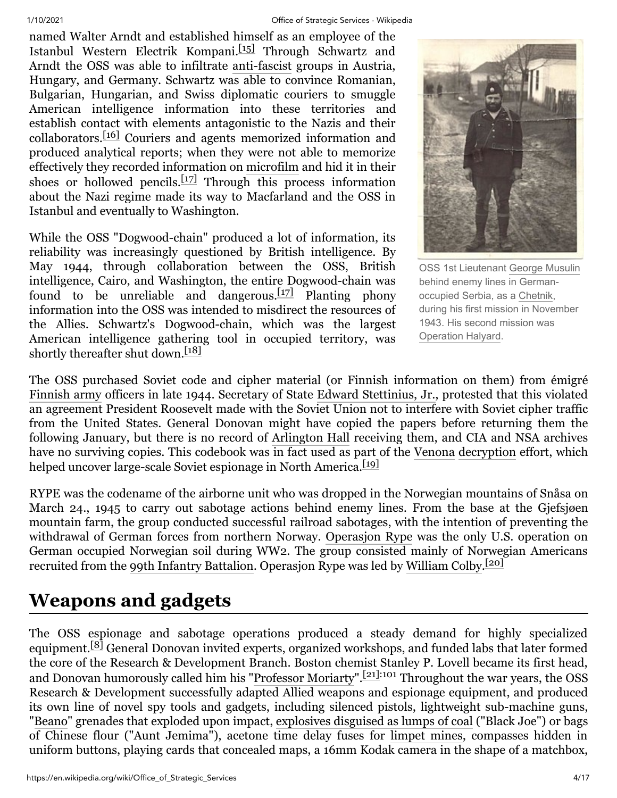named Walter Arndt and established himself as an employee of the Istanbul Western Electrik Kompani.<sup>[\[15\]](#page-11-5)</sup> Through Schwartz and Arndt the OSS was able to infiltrate [anti-fascist](https://en.wikipedia.org/wiki/Anti-fascist) groups in Austria, Hungary, and Germany. Schwartz was able to convince Romanian, Bulgarian, Hungarian, and Swiss diplomatic couriers to smuggle American intelligence information into these territories and establish contact with elements antagonistic to the Nazis and their collaborators.[\[16\]](#page-11-6) Couriers and agents memorized information and produced analytical reports; when they were not able to memorize effectively they recorded information on [microfilm](https://en.wikipedia.org/wiki/Microfilm) and hid it in their shoes or hollowed pencils.<sup>[\[17\]](#page-11-7)</sup> Through this process information about the Nazi regime made its way to Macfarland and the OSS in Istanbul and eventually to Washington.

While the OSS "Dogwood-chain" produced a lot of information, its reliability was increasingly questioned by British intelligence. By May 1944, through collaboration between the OSS, British intelligence, Cairo, and Washington, the entire Dogwood-chain was found to be unreliable and dangerous.<sup>[\[17\]](#page-11-7)</sup> Planting phony information into the OSS was intended to misdirect the resources of the Allies. Schwartz's Dogwood-chain, which was the largest American intelligence gathering tool in occupied territory, was shortly thereafter shut down.<sup>[\[18\]](#page-11-8)</sup>



OSS 1st Lieutenant George [Musulin](https://en.wikipedia.org/wiki/George_Musulin) behind enemy lines in Germanoccupied Serbia, as a [Chetnik,](https://en.wikipedia.org/wiki/Chetniks) during his first mission in November 1943. His second mission was [Operation](https://en.wikipedia.org/wiki/Operation_Halyard) Halyard.

The OSS purchased Soviet code and cipher material (or Finnish information on them) from émigré [Finnish army](https://en.wikipedia.org/wiki/Finnish_army) officers in late 1944. Secretary of State [Edward Stettinius, Jr.](https://en.wikipedia.org/wiki/Edward_Stettinius,_Jr.), protested that this violated an agreement President Roosevelt made with the Soviet Union not to interfere with Soviet cipher traffic from the United States. General Donovan might have copied the papers before returning them the following January, but there is no record of [Arlington Hall](https://en.wikipedia.org/wiki/Arlington_Hall) receiving them, and CIA and NSA archives have no surviving copies. This codebook was in fact used as part of the [Venona](https://en.wikipedia.org/wiki/Venona) [decryption](https://en.wikipedia.org/wiki/Decryption) effort, which helped uncover large-scale Soviet espionage in North America.<sup>[\[19\]](#page-11-9)</sup>

RYPE was the codename of the airborne unit who was dropped in the Norwegian mountains of Snåsa on March 24., 1945 to carry out sabotage actions behind enemy lines. From the base at the Gjefsjøen mountain farm, the group conducted successful railroad sabotages, with the intention of preventing the withdrawal of German forces from northern Norway. [Operasjon Rype](https://en.wikipedia.org/wiki/Operasjon_Rype) was the only U.S. operation on German occupied Norwegian soil during WW2. The group consisted mainly of Norwegian Americans recruited from the [99th Infantry Battalion.](https://en.wikipedia.org/wiki/99th_Infantry_Battalion_(United_States)) Operasjon Rype was led by [William Colby](https://en.wikipedia.org/wiki/William_Colby).<sup>[\[20\]](#page-11-10)</sup>

# <span id="page-3-0"></span>**Weapons and gadgets**

The OSS espionage and sabotage operations produced a steady demand for highly specialized equipment.[\[8\]](#page-10-10) General Donovan invited experts, organized workshops, and funded labs that later formed the core of the Research & Development Branch. Boston chemist Stanley P. Lovell became its first head, and Donovan humorously called him his "[Professor Moriarty"](https://en.wikipedia.org/wiki/Professor_Moriarty).<sup>[\[21\]:](#page-11-11)101</sup> Throughout the war years, the OSS Research & Development successfully adapted Allied weapons and espionage equipment, and produced its own line of novel spy tools and gadgets, including silenced pistols, lightweight sub-machine guns, "[Beano](https://en.wikipedia.org/wiki/BEANO_T-13_grenade)" grenades that exploded upon impact, [explosives disguised as lumps of coal](https://en.wikipedia.org/wiki/Coal_torpedo) ("Black Joe") or bags of Chinese flour ("Aunt Jemima"), acetone time delay fuses for [limpet mines,](https://en.wikipedia.org/wiki/Limpet_mine) compasses hidden in uniform buttons, playing cards that concealed maps, a 16mm Kodak camera in the shape of a matchbox,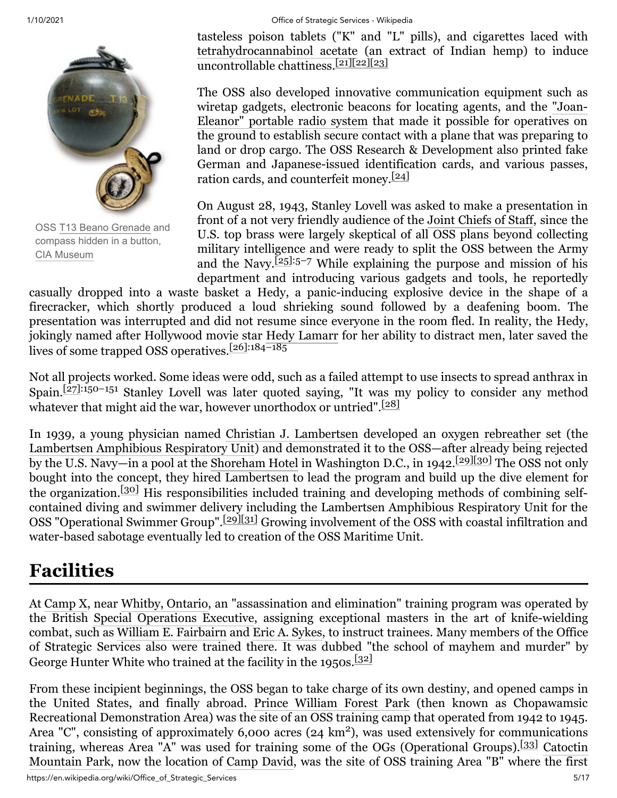OSS T13 Beano [Grenade](https://en.wikipedia.org/wiki/T13_Beano_Grenade) and compass hidden in a button, CIA [Museum](https://en.wikipedia.org/wiki/CIA_Museum)

tasteless poison tablets ("K" and "L" pills), and cigarettes laced with [tetrahydrocannabinol acetate](https://en.wikipedia.org/wiki/THC-O-acetate) (an extract of Indian hemp) to induce uncontrollable chattiness.<sup>[\[21\]](#page-11-11)[\[22\]](#page-11-12)[\[23\]](#page-11-13)</sup>

The OSS also developed innovative communication equipment such as [wiretap gadgets, electronic beacons](https://en.wikipedia.org/wiki/Joan-Eleanor_system) for locating agents, and the "Joan-Eleanor" portable radio system that made it possible for operatives on the ground to establish secure contact with a plane that was preparing to land or drop cargo. The OSS Research & Development also printed fake German and Japanese-issued identification cards, and various passes, ration cards, and counterfeit money.<sup>[\[24\]](#page-11-14)</sup>

On August 28, 1943, Stanley Lovell was asked to make a presentation in front of a not very friendly audience of the [Joint Chiefs of Staff](https://en.wikipedia.org/wiki/Joint_Chiefs_of_Staff), since the U.S. top brass were largely skeptical of all OSS plans beyond collecting military intelligence and were ready to split the OSS between the Army and the Navy.<sup> $[25]$ :5–7 While explaining the purpose and mission of his</sup> department and introducing various gadgets and tools, he reportedly

casually dropped into a waste basket a Hedy, a panic-inducing explosive device in the shape of a firecracker, which shortly produced a loud shrieking sound followed by a deafening boom. The presentation was interrupted and did not resume since everyone in the room fled. In reality, the Hedy, jokingly named after Hollywood movie star [Hedy Lamarr](https://en.wikipedia.org/wiki/Hedy_Lamarr) for her ability to distract men, later saved the lives of some trapped OSS operatives.[\[26\]:](#page-11-16)184–185

Not all projects worked. Some ideas were odd, such as a failed attempt to use insects to spread anthrax in Spain.<sup>[\[27\]:](#page-11-17)150–151</sup> Stanley Lovell was later quoted saying, "It was my policy to consider any method whatever that might aid the war, however unorthodox or untried".<sup>[\[28\]](#page-11-18)</sup>

In 1939, a young physician named [Christian J. Lambertsen](https://en.wikipedia.org/wiki/Christian_J._Lambertsen) developed an oxygen [rebreather](https://en.wikipedia.org/wiki/Rebreather) set (the [Lambertsen Amphibious Respiratory](https://en.wikipedia.org/wiki/Lambertsen_Amphibious_Respiratory_Unit) Unit) and demonstrated it to the OSS—after already being rejected by the U.S. Navy—in a pool at the [Shoreham Hotel](https://en.wikipedia.org/wiki/Shoreham_Hotel) in Washington D.C., in 1942.[\[29\]](#page-11-19)[\[30\]](#page-11-20) The OSS not only bought into the concept, they hired Lambertsen to lead the program and build up the dive element for the organization.[\[30\]](#page-11-20) His responsibilities included training and developing methods of combining selfcontained diving and swimmer delivery including the Lambertsen Amphibious Respiratory Unit for the OSS "Operational Swimmer Group".[\[29\]](#page-11-19)[\[31\]](#page-11-21) Growing involvement of the OSS with coastal infiltration and water-based sabotage eventually led to creation of the OSS Maritime Unit.

### <span id="page-4-0"></span>**Facilities**

At [Camp X,](https://en.wikipedia.org/wiki/Camp_X) near [Whitby, Ontario,](https://en.wikipedia.org/wiki/Whitby,_Ontario) an "assassination and elimination" training program was operated by the British [Special Operations Executive](https://en.wikipedia.org/wiki/Special_Operations_Executive), assigning exceptional masters in the art of knife-wielding combat, such as [William E. Fairbairn](https://en.wikipedia.org/wiki/William_E._Fairbairn) and [Eric A. Sykes,](https://en.wikipedia.org/wiki/Eric_A._Sykes) to instruct trainees. Many members of the Office of Strategic Services also were trained there. It was dubbed "the school of mayhem and murder" by George Hunter White who trained at the facility in the 1950s.<sup>[\[32\]](#page-11-22)</sup>

From these incipient beginnings, the OSS began to take charge of its own destiny, and opened camps in the United States, and finally abroad. [Prince William Forest Park](https://en.wikipedia.org/wiki/Prince_William_Forest_Park) (then known as Chopawamsic Recreational Demonstration Area) was the site of an OSS training camp that operated from 1942 to 1945. Area "C", consisting of approximately  $6,000$  acres  $(24 \text{ km}^2)$ , was used extensively for communications [training, whereas Area "A" was used for training some of the OGs \(Operational Groups\).](https://en.wikipedia.org/wiki/Catoctin_Mountain_Park)<sup>[\[33\]](#page-11-23)</sup> Catoctin Mountain Park, now the location of [Camp David,](https://en.wikipedia.org/wiki/Camp_David) was the site of OSS training Area "B" where the first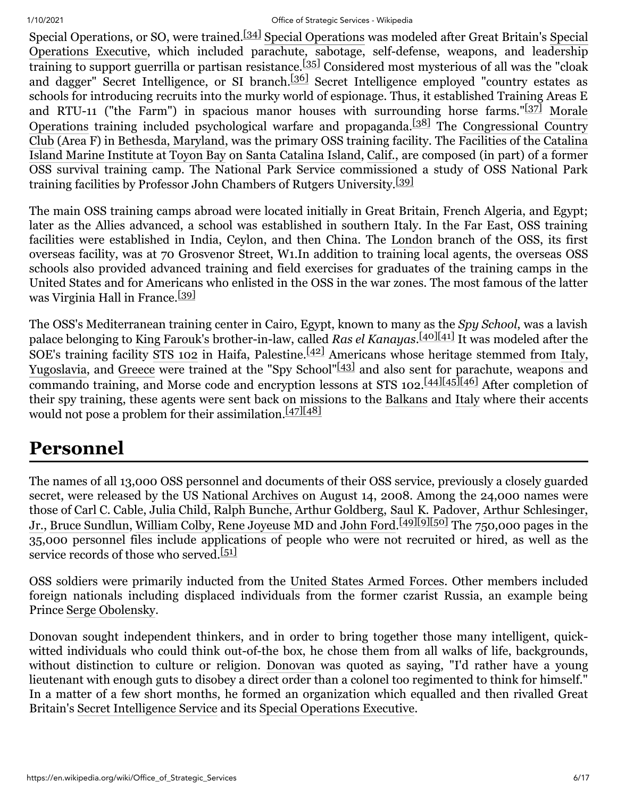#### 1/10/2021 Office of Strategic Services - Wikipedia

Special Operations, or SO, were trained.<sup>[\[34\]](#page-12-0)</sup> [Special Operations](https://en.wikipedia.org/wiki/Special_Operations) was modeled after Great Britain's Special [Operations Executive, which included parachute, sabotage, self-defense, weapons, and leadership](https://en.wikipedia.org/wiki/Special_Operations_Executive) training to support guerrilla or partisan resistance.<sup>[\[35\]](#page-12-1)</sup> Considered most mysterious of all was the "cloak" and dagger" Secret Intelligence, or SI branch.<sup>[\[36\]](#page-12-2)</sup> Secret Intelligence employed "country estates as schools for introducing recruits into the murky world of espionage. Thus, it established Training Areas E [and RTU-11 \("the Farm"\) in spacious manor houses with surrounding horse farms."](https://en.wikipedia.org/wiki/Morale_Operations_Branch) $\frac{137}{12}$  Morale Operations training included psychological warfare and propaganda.<sup>[\[38\]](#page-12-4)</sup> The Congressional Country [Club \(Area F\) in Bethesda, Maryland, was the primary OSS training facility. The Facilities of the Catalina](https://en.wikipedia.org/wiki/Congressional_Country_Club) Island Marine Institute at [Toyon Bay](https://en.wikipedia.org/wiki/Toyon_Bay) on [Santa Catalina Island](https://en.wikipedia.org/wiki/Santa_Catalina_Island_(California)), [Calif.](https://en.wikipedia.org/wiki/California), are composed (in part) of a former OSS survival training camp. The National Park Service commissioned a study of OSS National Park training facilities by Professor John Chambers of Rutgers University.<sup>[\[39\]](#page-12-5)</sup>

The main OSS training camps abroad were located initially in Great Britain, French Algeria, and Egypt; later as the Allies advanced, a school was established in southern Italy. In the Far East, OSS training facilities were established in India, Ceylon, and then China. The [London](https://en.wikipedia.org/wiki/London) branch of the OSS, its first overseas facility, was at 70 Grosvenor Street, W1.In addition to training local agents, the overseas OSS schools also provided advanced training and field exercises for graduates of the training camps in the United States and for Americans who enlisted in the OSS in the war zones. The most famous of the latter was Virginia Hall in France.<sup>[\[39\]](#page-12-5)</sup>

The OSS's Mediterranean training center in Cairo, Egypt, known to many as the *Spy School*, was a lavish palace belonging to [King Farouk's](https://en.wikipedia.org/wiki/Farouk_of_Egypt) brother-in-law, called *Ras el Kanayas*. [\[40\]](#page-12-6)[\[41\]](#page-12-7) It was modeled after the SOE's training facility [STS 102](https://en.wikipedia.org/wiki/List_of_SOE_establishments#Training_schools) in Haifa, Palestine.<sup>[\[42\]](#page-12-8)</sup> Americans whose heritage stemmed from [Italy,](https://en.wikipedia.org/wiki/Italy) [Yugoslavia](https://en.wikipedia.org/wiki/Yugoslavia), and [Greece](https://en.wikipedia.org/wiki/Greece) were trained at the "Spy School"<sup>[\[43\]](#page-12-9)</sup> and also sent for parachute, weapons and commando training, and Morse code and encryption lessons at STS 102.<sup>[\[44\]](#page-12-10)[\[45\]](#page-12-11)</sup>[\[46\]](#page-12-12) After completion of their spy training, these agents were sent back on missions to the [Balkans](https://en.wikipedia.org/wiki/Balkan_Campaign_(World_War_II)) and [Italy](https://en.wikipedia.org/wiki/Military_history_of_Italy_during_World_War_II) where their accents would not pose a problem for their assimilation.<sup>[\[47\]](#page-12-13)[\[48\]](#page-12-14)</sup>

## <span id="page-5-0"></span>**Personnel**

The names of all 13,000 OSS personnel and documents of their OSS service, previously a closely guarded secret, were released by the US [National Archives](https://en.wikipedia.org/wiki/National_Archives_and_Records_Administration) on August 14, 2008. Among the 24,000 names were [those of C](https://en.wikipedia.org/wiki/Arthur_Schlesinger,_Jr.)[arl C. Cabl](https://en.wikipedia.org/wiki/Carl_C._Cable)[e,](https://en.wikipedia.org/wiki/Arthur_Schlesinger,_Jr.) [Julia Child](https://en.wikipedia.org/wiki/Julia_Child)[,](https://en.wikipedia.org/wiki/Arthur_Schlesinger,_Jr.) [Ralph Bunche](https://en.wikipedia.org/wiki/Ralph_Bunche)[, A](https://en.wikipedia.org/wiki/Arthur_Schlesinger,_Jr.)[rthur Goldberg](https://en.wikipedia.org/wiki/Arthur_Goldberg)[, S](https://en.wikipedia.org/wiki/Arthur_Schlesinger,_Jr.)[aul K. Padover](https://en.wikipedia.org/wiki/Saul_K._Padover)[, Arthur Schlesinger,](https://en.wikipedia.org/wiki/Arthur_Schlesinger,_Jr.) Jr., [Bruce Sundlun](https://en.wikipedia.org/wiki/Bruce_Sundlun), [William Colby,](https://en.wikipedia.org/wiki/William_Colby) [Rene Joyeuse](https://en.wikipedia.org/wiki/Rene_Joyeuse) MD and [John Ford.](https://en.wikipedia.org/wiki/John_Ford) [\[49\]](#page-13-0)[\[9\]](#page-10-11)[\[50\]](#page-13-1) The 750,000 pages in the 35,000 personnel files include applications of people who were not recruited or hired, as well as the service records of those who served.<sup>[\[51\]](#page-13-2)</sup>

OSS soldiers were primarily inducted from the [United States Armed Forces](https://en.wikipedia.org/wiki/United_States_Armed_Forces). Other members included foreign nationals including displaced individuals from the former czarist Russia, an example being Prince [Serge Obolensky](https://en.wikipedia.org/wiki/Serge_Obolensky).

Donovan sought independent thinkers, and in order to bring together those many intelligent, quickwitted individuals who could think out-of-the box, he chose them from all walks of life, backgrounds, without distinction to culture or religion. [Donovan](https://en.wikipedia.org/wiki/William_J._Donovan) was quoted as saying, "I'd rather have a young lieutenant with enough guts to disobey a direct order than a colonel too regimented to think for himself." In a matter of a few short months, he formed an organization which equalled and then rivalled Great Britain's [Secret Intelligence Service](https://en.wikipedia.org/wiki/Secret_Intelligence_Service) and its [Special Operations Executive.](https://en.wikipedia.org/wiki/Special_Operations_Executive)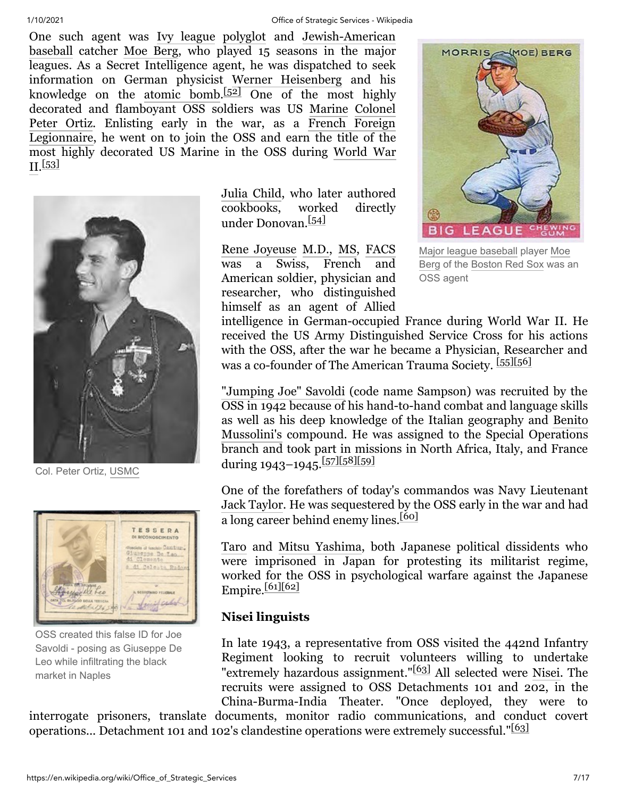One such agent was [Ivy league](https://en.wikipedia.org/wiki/Ivy_league) [polyglot](https://en.wikipedia.org/wiki/Polyglot) and [Jewish-American](https://en.wikipedia.org/wiki/American_Jews) [baseball](https://en.wikipedia.org/wiki/American_baseball) catcher [Moe Berg,](https://en.wikipedia.org/wiki/Moe_Berg) who played 15 seasons in the major leagues. As a Secret Intelligence agent, he was dispatched to seek information on German physicist [Werner Heisenberg](https://en.wikipedia.org/wiki/Werner_Heisenberg) and his knowledge on the [atomic bomb.](https://en.wikipedia.org/wiki/Nuclear_weapon) [\[52\]](#page-13-3) One of the most highly decorated and flamboyant OSS soldiers was US [Marine](https://en.wikipedia.org/wiki/United_States_Marine_Corps) [Colonel](https://en.wikipedia.org/wiki/Colonel) [Peter Ortiz.](https://en.wikipedia.org/wiki/Peter_J._Ortiz) Enlisting early in the war, as a French Foreign [Legionnaire, he went on to join the OSS and earn the title of the](https://en.wikipedia.org/wiki/French_Foreign_Legion) [most highly decorated US Marine in the OSS during World War](https://en.wikipedia.org/wiki/World_War_II) II. [\[53\]](#page-13-4)



Col. Peter Ortiz, [USMC](https://en.wikipedia.org/wiki/USMC)



OSS created this false ID for Joe Savoldi - posing as Giuseppe De Leo while infiltrating the black market in Naples

[Julia Child,](https://en.wikipedia.org/wiki/Julia_Child) who later authored cookbooks, worked directly under Donovan.<sup>[\[54\]](#page-13-5)</sup>

[Rene Joyeuse](https://en.wikipedia.org/wiki/Rene_Joyeuse) [M.D.,](https://en.wikipedia.org/wiki/Doctor_of_Medicine) [MS,](https://en.wikipedia.org/wiki/Master_of_Science) [FACS](https://en.wikipedia.org/wiki/Fellow_of_the_American_College_of_Surgeons) was a Swiss, French and American soldier, physician and researcher, who distinguished himself as an agent of Allied



Major league [baseball](https://en.wikipedia.org/wiki/Major_league_baseball) player Moe Berg of the [Boston](https://en.wikipedia.org/wiki/Boston_Red_Sox) Red Sox was an OSS agent

intelligence in German-occupied France during World War II. He received the US Army Distinguished Service Cross for his actions with the OSS, after the war he became a Physician, Researcher and was a co-founder of The American Trauma Society. [\[55\]](#page-13-6)[\[56\]](#page-13-7)

["Jumping Joe" Savoldi](https://en.wikipedia.org/wiki/Joe_Savoldi) (code name Sampson) was recruited by the OSS in 1942 because of his hand-to-hand combat and language skills [as well as his deep knowledge of the Italian geography and Benito](https://en.wikipedia.org/wiki/Benito_Mussolini) Mussolini's compound. He was assigned to the Special Operations branch and took part in missions in North Africa, Italy, and France during 1943–1945.<sup>[\[57\]](#page-13-8)[\[58\]](#page-13-9)[\[59\]](#page-13-10)</sup>

One of the forefathers of today's commandos was Navy Lieutenant [Jack Taylor](https://en.wikipedia.org/wiki/Jack_Hendrick_Taylor). He was sequestered by the OSS early in the war and had a long career behind enemy lines.<sup>[\[60\]](#page-13-11)</sup>

[Taro](https://en.wikipedia.org/wiki/Taro_Yashima) and [Mitsu Yashima,](https://en.wikipedia.org/wiki/Mitsu_Yashima) both Japanese political dissidents who were imprisoned in Japan for protesting its militarist regime, worked for the OSS in psychological warfare against the Japanese Empire.[\[61\]](#page-13-12)[\[62\]](#page-13-13)

#### **Nisei linguists**

In late 1943, a representative from OSS visited the 442nd Infantry Regiment looking to recruit volunteers willing to undertake "extremely hazardous assignment."<sup>[\[63\]](#page-13-14)</sup> All selected were [Nisei.](https://en.wikipedia.org/wiki/Nisei) The recruits were assigned to OSS Detachments 101 and 202, in the China-Burma-India Theater. "Once deployed, they were to

interrogate prisoners, translate documents, monitor radio communications, and conduct covert operations... Detachment 101 and 102's clandestine operations were extremely successful."<sup>[\[63\]](#page-13-14)</sup>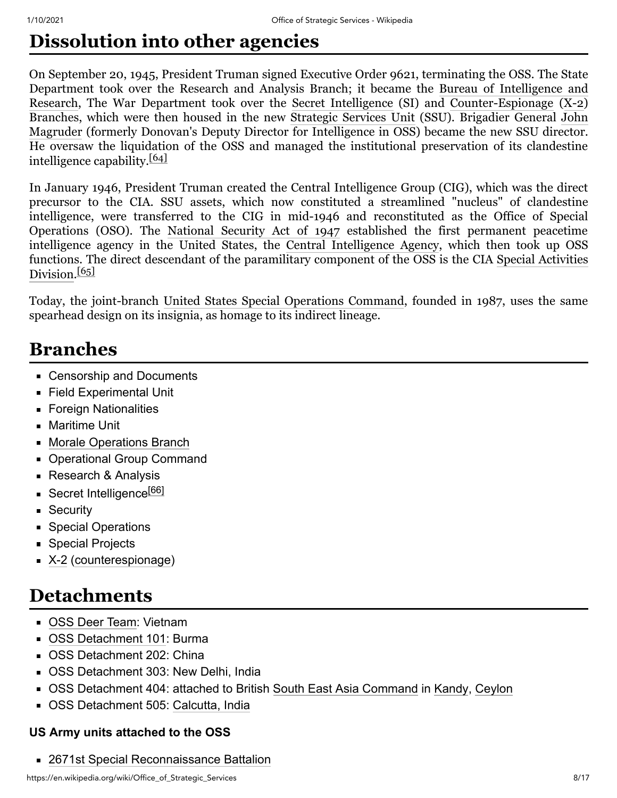# <span id="page-7-0"></span>**Dissolution into other agencies**

On September 20, 1945, President Truman signed Executive Order 9621, terminating the OSS. The State Department took over the Research [and Analysis Branch; it became the Bureau of Intelligence and](https://en.wikipedia.org/wiki/Bureau_of_Intelligence_and_Research) Research, The War Department took over the [Secret Intelligence](https://en.wikipedia.org/wiki/Secret_Intelligence_Branch) (SI) and [Counter-Espionage](https://en.wikipedia.org/wiki/Counter-espionage) ([X-2\)](https://en.wikipedia.org/wiki/X-2_Counter_Espionage_Branch) Branches, which were then housed in the new [Strategic Services Unit](https://en.wikipedia.org/wiki/Strategic_Services_Unit) (SSU). Brigadier General John Magruder [\(formerly Donovan's Deputy Director for Intelligence in OSS\) became the new SSU director.](https://en.wikipedia.org/wiki/John_Magruder_(Brigadier_General)) He oversaw the liquidation of the OSS and managed the institutional preservation of its clandestine intelligence capability.[\[64\]](#page-13-15)

In January 1946, President Truman created the Central Intelligence Group (CIG), which was the direct precursor to the CIA. SSU assets, which now constituted a streamlined "nucleus" of clandestine intelligence, were transferred to the CIG in mid-1946 and reconstituted as the Office of Special Operations (OSO). The [National Security Act of 1947](https://en.wikipedia.org/wiki/National_Security_Act_of_1947) established the first permanent peacetime intelligence agency in the United States, the [Central Intelligence Agency,](https://en.wikipedia.org/wiki/Central_Intelligence_Agency) which then took up OSS [functions. The direct descendant of the paramilitary component of the OSS is the CIA Special Activities](https://en.wikipedia.org/wiki/Special_Activities_Division) Division.<sup>[\[65\]](#page-13-16)</sup>

Today, the joint-branch [United States Special Operations Command](https://en.wikipedia.org/wiki/United_States_Special_Operations_Command), founded in 1987, uses the same spearhead design on its insignia, as homage to its indirect lineage.

### <span id="page-7-1"></span>**Branches**

- Censorship and Documents
- **Field Experimental Unit**
- **Foreign Nationalities**
- Maritime Unit
- [Morale Operations Branch](https://en.wikipedia.org/wiki/Morale_Operations_Branch)
- **Derational Group Command**
- **Research & Analysis**
- Secret Intelligence<sup>[\[66\]](#page-13-17)</sup>
- **Security**
- **Special Operations**
- **Special Projects**
- [X-2](https://en.wikipedia.org/wiki/X-2_Counter_Espionage_Branch) [\(counterespionage](https://en.wikipedia.org/wiki/Counterespionage))

# <span id="page-7-2"></span>**Detachments**

- [OSS Deer Team](https://en.wikipedia.org/wiki/OSS_Deer_Team): Vietnam
- [OSS Detachment 101:](https://en.wikipedia.org/wiki/OSS_Detachment_101) Burma
- **OSS Detachment 202: China**
- OSS Detachment 303: New Delhi, India
- OSS Detachment 404: attached to British [South East Asia Command](https://en.wikipedia.org/wiki/South_East_Asia_Command) in [Kandy](https://en.wikipedia.org/wiki/Kandy), [Ceylon](https://en.wikipedia.org/wiki/Sri_Lanka)
- OSS Detachment 505: [Calcutta, India](https://en.wikipedia.org/wiki/Calcutta,_India)

#### **US Army units attached to the OSS**

[2671st Special Reconnaissance Battalion](https://en.wikipedia.org/wiki/2671st_Special_Reconnaissance_Battalion_(United_States))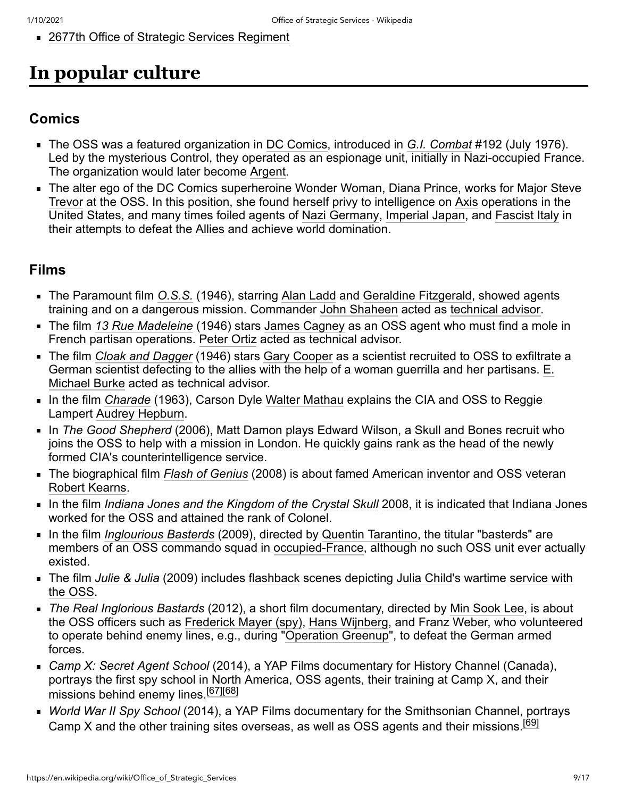■ [2677th Office of Strategic Services Regiment](https://en.wikipedia.org/wiki/2677th_Office_of_Strategic_Services_Regiment_(United_States))

# <span id="page-8-0"></span>**In popular culture**

#### <span id="page-8-1"></span>**Comics**

- The OSS was a featured organization in [DC Comics,](https://en.wikipedia.org/wiki/DC_Comics) introduced in *[G.I. Combat](https://en.wikipedia.org/wiki/G.I._Combat)* #192 (July 1976). Led by the mysterious Control, they operated as an espionage unit, initially in Nazi-occupied France. The organization would later become [Argent.](https://en.wikipedia.org/wiki/List_of_government_agencies_in_DC_Comics#A)
- [The alter ego of the D](https://en.wikipedia.org/wiki/Steve_Trevor)[C Comic](https://en.wikipedia.org/wiki/DC_Comics)[s superheroine W](https://en.wikipedia.org/wiki/Steve_Trevor)[onder Woma](https://en.wikipedia.org/wiki/Wonder_Woman)[n, D](https://en.wikipedia.org/wiki/Steve_Trevor)[iana Princ](https://en.wikipedia.org/wiki/Diana_Prince)[e, works for Major Steve](https://en.wikipedia.org/wiki/Steve_Trevor) Trevor at the OSS. In this position, she found herself privy to intelligence on [Axis](https://en.wikipedia.org/wiki/Axis_powers) operations in the United States, and many times foiled agents of [Nazi Germany](https://en.wikipedia.org/wiki/Nazi_Germany), [Imperial Japan,](https://en.wikipedia.org/wiki/Imperial_Japan) and [Fascist Italy](https://en.wikipedia.org/wiki/Kingdom_of_Italy) in their attempts to defeat the [Allies](https://en.wikipedia.org/wiki/Allied_powers_of_World_War_II) and achieve world domination.

#### <span id="page-8-2"></span>**Films**

- The Paramount film *[O.S.S.](https://en.wikipedia.org/wiki/O.S.S._(film))* (1946), starring [Alan Ladd](https://en.wikipedia.org/wiki/Alan_Ladd) and [Geraldine Fitzgerald](https://en.wikipedia.org/wiki/Geraldine_Fitzgerald), showed agents training and on a dangerous mission. Commander [John Shaheen](https://en.wikipedia.org/wiki/John_Shaheen) acted as [technical advisor.](https://en.wikipedia.org/wiki/Technical_advisor)
- The film *[13 Rue Madeleine](https://en.wikipedia.org/wiki/13_Rue_Madeleine)* (1946) stars [James Cagney](https://en.wikipedia.org/wiki/James_Cagney) as an OSS agent who must find a mole in French partisan operations. [Peter Ortiz](https://en.wikipedia.org/wiki/Peter_Ortiz) acted as technical advisor.
- The film *[Cloak and Dagger](https://en.wikipedia.org/wiki/Cloak_and_Dagger_(1946_film))* (1946) stars [Gary Cooper](https://en.wikipedia.org/wiki/Gary_Cooper) as a scientist recruited to OSS to exfiltrate a [German scientist defecting to the allies with the help of a woman guerrilla and her partisans. E.](https://en.wikipedia.org/wiki/E._Michael_Burke) Michael Burke acted as technical advisor.
- In the film *[Charade](https://en.wikipedia.org/wiki/Charade_(1963_film))* (1963), Carson Dyle [Walter Mathau](https://en.wikipedia.org/w/index.php?title=Walter_Mathau&action=edit&redlink=1) explains the CIA and OSS to Reggie Lampert [Audrey Hepburn.](https://en.wikipedia.org/wiki/Audrey_Hepburn)
- In *[The Good Shepherd](https://en.wikipedia.org/wiki/The_Good_Shepherd_(film))* [\(2006](https://en.wikipedia.org/wiki/2006_in_film)), [Matt Damon](https://en.wikipedia.org/wiki/Matt_Damon) plays Edward Wilson, a [Skull and Bones](https://en.wikipedia.org/wiki/Skull_and_Bones) recruit who joins the OSS to help with a mission in London. He quickly gains rank as the head of the newly formed CIA's counterintelligence service.
- The biographical film *[Flash of Genius](https://en.wikipedia.org/wiki/Flash_of_Genius_(film))* (2008) is about famed American inventor and OSS veteran [Robert Kearns.](https://en.wikipedia.org/wiki/Robert_Kearns)
- In the film *[Indiana Jones and the Kingdom of the Crystal Skull](https://en.wikipedia.org/wiki/Indiana_Jones_and_the_Kingdom_of_the_Crystal_Skull)* [2008,](https://en.wikipedia.org/wiki/2008_in_film) it is indicated that Indiana Jones worked for the OSS and attained the rank of Colonel.
- In the film *[Inglourious Basterds](https://en.wikipedia.org/wiki/Inglourious_Basterds)* (2009), directed by [Quentin Tarantino](https://en.wikipedia.org/wiki/Quentin_Tarantino), the titular "basterds" are members of an OSS commando squad in [occupied-France](https://en.wikipedia.org/wiki/German_military_administration_in_occupied_France_during_World_War_II), although no such OSS unit ever actually existed.
- The film *[Julie & Julia](https://en.wikipedia.org/wiki/Julie_%26_Julia)* [\(2009\) includes f](https://en.wikipedia.org/wiki/Julia_Child#World_War_II)[lashback](https://en.wikipedia.org/wiki/Flashback_(narrative)) [scenes depicting J](https://en.wikipedia.org/wiki/Julia_Child#World_War_II)[ulia Chil](https://en.wikipedia.org/wiki/Julia_Child)[d's wartime service with](https://en.wikipedia.org/wiki/Julia_Child#World_War_II) the OSS.
- *The Real Inglorious Bastards* (2012), a short film documentary, directed by [Min Sook Lee](https://en.wikipedia.org/wiki/Min_Sook_Lee), is about the OSS officers such as [Frederick Mayer \(spy\)](https://en.wikipedia.org/wiki/Frederick_Mayer_(spy)), [Hans Wijnberg](https://en.wikipedia.org/w/index.php?title=Hans_Wijnberg&action=edit&redlink=1), and Franz Weber, who volunteered to operate behind enemy lines, e.g., during ["Operation Greenup](https://en.wikipedia.org/wiki/Operation_Greenup)", to defeat the German armed forces.
- *Camp X: Secret Agent School* (2014), a YAP Films documentary for History Channel (Canada), portrays the first spy school in North America, OSS agents, their training at Camp X, and their missions behind enemy lines.<sup>[\[67\]](#page-13-18)[\[68\]](#page-14-1)</sup>
- *World War II Spy School* (2014), a YAP Films documentary for the Smithsonian Channel, portrays Camp X and the other training sites overseas, as well as OSS agents and their missions.<sup>[\[69\]](#page-14-2)</sup>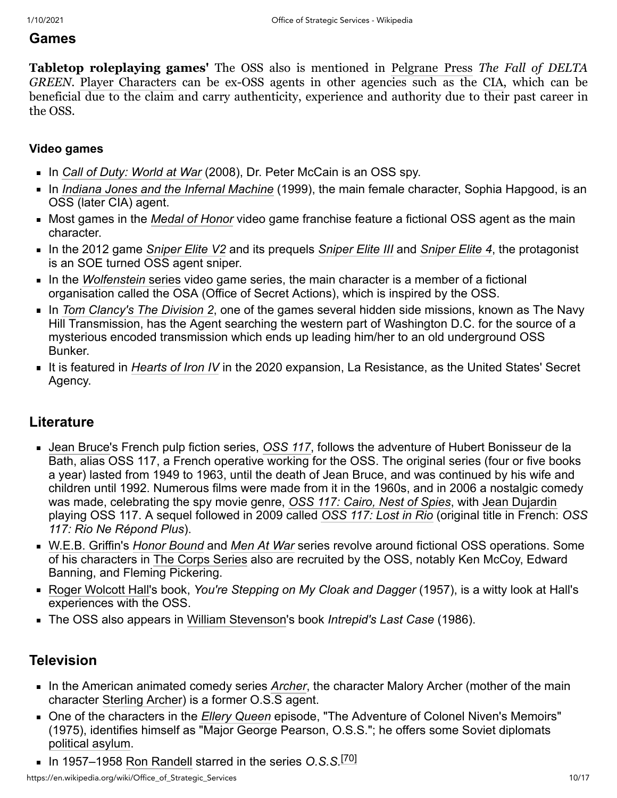#### <span id="page-9-0"></span>**Games**

**Tabletop roleplaying games'** The OSS also is mentioned in [Pelgrane Press](https://en.wikipedia.org/wiki/Pelgrane_Press) *The Fall of DELTA GREEN*. [Player Characters](https://en.wikipedia.org/wiki/Player_Character) can be ex-OSS agents in other agencies such as the [CIA,](https://en.wikipedia.org/wiki/CIA) which can be beneficial due to the claim and carry authenticity, experience and authority due to their past career in the OSS.

#### <span id="page-9-1"></span>**Video games**

- In *[Call of Duty: World at War](https://en.wikipedia.org/wiki/Call_of_Duty:_World_at_War)* (2008), Dr. Peter McCain is an OSS spy.
- In *[Indiana Jones and the Infernal Machine](https://en.wikipedia.org/wiki/Indiana_Jones_and_the_Infernal_Machine)* (1999), the main female character, Sophia Hapgood, is an OSS (later CIA) agent.
- Most games in the *[Medal of Honor](https://en.wikipedia.org/wiki/Medal_of_Honor_(video_game_series))* video game franchise feature a fictional OSS agent as the main character.
- In the 2012 game *[Sniper Elite V2](https://en.wikipedia.org/wiki/Sniper_Elite_V2)* and its prequels *[Sniper Elite III](https://en.wikipedia.org/wiki/Sniper_Elite_III)* and *[Sniper Elite 4](https://en.wikipedia.org/wiki/Sniper_Elite_4)*, the protagonist is an SOE turned OSS agent sniper.
- In the *[Wolfenstein](https://en.wikipedia.org/wiki/Wolfenstein_(series))* series video game series, the main character is a member of a fictional organisation called the OSA (Office of Secret Actions), which is inspired by the OSS.
- In *[Tom Clancy's The Division 2](https://en.wikipedia.org/wiki/Tom_Clancy%27s_The_Division_2)*, one of the games several hidden side missions, known as The Navy Hill Transmission, has the Agent searching the western part of Washington D.C. for the source of a mysterious encoded transmission which ends up leading him/her to an old underground OSS Bunker.
- It is featured in *[Hearts of Iron IV](https://en.wikipedia.org/wiki/Hearts_of_Iron_IV)* in the 2020 expansion, La Resistance, as the United States' Secret Agency.

#### <span id="page-9-2"></span>**Literature**

- [Jean Bruce](https://en.wikipedia.org/wiki/Jean_Bruce)'s French pulp fiction series, *[OSS 117](https://en.wikipedia.org/wiki/OSS_117)*, follows the adventure of Hubert Bonisseur de la Bath, alias OSS 117, a French operative working for the OSS. The original series (four or five books a year) lasted from 1949 to 1963, until the death of Jean Bruce, and was continued by his wife and children until 1992. Numerous films were made from it in the 1960s, and in 2006 a nostalgic comedy was made, celebrating the spy movie genre, *[OSS 117: Cairo, Nest of Spies](https://en.wikipedia.org/wiki/OSS_117:_Cairo,_Nest_of_Spies)*, with [Jean Dujardin](https://en.wikipedia.org/wiki/Jean_Dujardin) playing OSS 117. A sequel followed in 2009 called *[OSS 117: Lost in Rio](https://en.wikipedia.org/wiki/OSS_117:_Lost_in_Rio)* (original title in French: *OSS 117: Rio Ne Répond Plus*).
- [W.E.B. Griffin](https://en.wikipedia.org/wiki/W.E.B._Griffin)'s *[Honor Bound](https://en.wikipedia.org/wiki/Honor_Bound_series)* and *[Men At War](https://en.wikipedia.org/wiki/Men_at_War_(series))* series revolve around fictional OSS operations. Some of his characters in [The Corps Series](https://en.wikipedia.org/wiki/The_Corps_Series) also are recruited by the OSS, notably Ken McCoy, Edward Banning, and Fleming Pickering.
- [Roger Wolcott Hall](https://en.wikipedia.org/wiki/Roger_Wolcott_Hall)'s book, *You're Stepping on My Cloak and Dagger* (1957), is a witty look at Hall's experiences with the OSS.
- The OSS also appears in [William Stevenson](https://en.wikipedia.org/wiki/William_Stevenson_(Canadian_writer))'s book *Intrepid's Last Case* (1986).

#### <span id="page-9-3"></span>**Television**

- In the American animated comedy series *[Archer](https://en.wikipedia.org/wiki/Archer_(2009_TV_series))*, the character Malory Archer (mother of the main character [Sterling Archer\)](https://en.wikipedia.org/wiki/Sterling_Archer) is a former O.S.S agent.
- One of the characters in the *[Ellery Queen](https://en.wikipedia.org/wiki/Ellery_Queen_(TV_series))* episode, "The Adventure of Colonel Niven's Memoirs" (1975), identifies himself as "Major George Pearson, O.S.S."; he offers some Soviet diplomats [political asylum](https://en.wikipedia.org/wiki/Right_of_asylum).
- In 1957–1958 [Ron Randell](https://en.wikipedia.org/wiki/Ron_Randell) starred in the series *O.S.S.<sup>[\[70\]](#page-14-3)</sup>*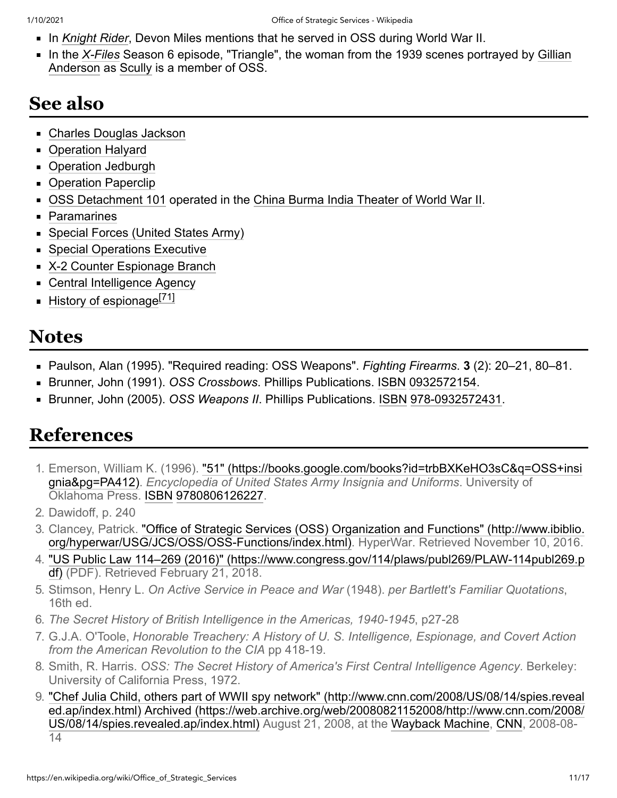- In *[Knight Rider](https://en.wikipedia.org/wiki/Knight_Rider_(1982_TV_series))*, Devon Miles mentions that he served in OSS during World War II.
- In the *[X-Files](https://en.wikipedia.org/wiki/X-Files)* [Season 6 episode, "Triangle", the woman from the 1939 scenes portrayed by Gillian](https://en.wikipedia.org/wiki/Gillian_Anderson) Anderson as [Scully](https://en.wikipedia.org/wiki/Dana_Scully) is a member of OSS.

## <span id="page-10-4"></span>**See also**

- [Charles Douglas Jackson](https://en.wikipedia.org/wiki/Charles_Douglas_Jackson)
- **Deration Halyard**
- [Operation Jedburgh](https://en.wikipedia.org/wiki/Operation_Jedburgh)
- [Operation Paperclip](https://en.wikipedia.org/wiki/Operation_Paperclip)
- [OSS Detachment 101](https://en.wikipedia.org/wiki/OSS_Detachment_101) operated in the [China Burma India Theater of World War II](https://en.wikipedia.org/wiki/China_Burma_India_Theater_of_World_War_II).
- [Paramarines](https://en.wikipedia.org/wiki/Paramarines)
- **[Special Forces \(United States Army\)](https://en.wikipedia.org/wiki/Special_Forces_(United_States_Army))**
- [Special Operations Executive](https://en.wikipedia.org/wiki/Special_Operations_Executive)
- [X-2 Counter Espionage Branch](https://en.wikipedia.org/wiki/X-2_Counter_Espionage_Branch)
- [Central Intelligence Agency](https://en.wikipedia.org/wiki/Central_Intelligence_Agency)
- $\blacksquare$  [History of espionage](https://en.wikipedia.org/wiki/History_of_espionage) $^{[71]}$  $^{[71]}$  $^{[71]}$

#### <span id="page-10-5"></span>**Notes**

- Paulson, Alan (1995). "Required reading: OSS Weapons". *Fighting Firearms*. **3** (2): 20–21, 80–81.
- Brunner, John (1991). *OSS Crossbows*. Phillips Publications. [ISBN](https://en.wikipedia.org/wiki/ISBN_(identifier)) [0932572154](https://en.wikipedia.org/wiki/Special:BookSources/0932572154).
- Brunner, John (2005). *OSS Weapons II*. Phillips Publications. [ISBN](https://en.wikipedia.org/wiki/ISBN_(identifier)) [978-0932572431](https://en.wikipedia.org/wiki/Special:BookSources/978-0932572431).

### <span id="page-10-6"></span>**References**

- <span id="page-10-0"></span>1. [Emerson, William K. \(1996\). "51" \(https://books.google.com/books?id=trbBXKeHO3sC&q=OSS+insi](https://books.google.com/books?id=trbBXKeHO3sC&q=OSS+insignia&pg=PA412) gnia&pg=PA412). *Encyclopedia of United States Army Insignia and Uniforms*. University of Oklahoma Press. [ISBN](https://en.wikipedia.org/wiki/ISBN_(identifier)) [9780806126227.](https://en.wikipedia.org/wiki/Special:BookSources/9780806126227)
- <span id="page-10-1"></span>2. Dawidoff, p. 240
- <span id="page-10-2"></span>3. [Clancey, Patrick. "Office of Strategic Services \(OSS\) Organization and Functions" \(http://www.ibiblio.](http://www.ibiblio.org/hyperwar/USG/JCS/OSS/OSS-Functions/index.html) org/hyperwar/USG/JCS/OSS/OSS-Functions/index.html). HyperWar. Retrieved November 10, 2016.
- <span id="page-10-3"></span>4. ["US Public Law 114–269 \(2016\)" \(https://www.congress.gov/114/plaws/publ269/PLAW-114publ269.p](https://www.congress.gov/114/plaws/publ269/PLAW-114publ269.pdf) df) (PDF). Retrieved February 21, 2018.
- <span id="page-10-7"></span>5. Stimson, Henry L. *On Active Service in Peace and War* (1948). *per Bartlett's Familiar Quotations*, 16th ed.
- <span id="page-10-8"></span>6. *The Secret History of British Intelligence in the Americas, 1940-1945*, p27-28
- <span id="page-10-9"></span>7. G.J.A. O'Toole, *Honorable Treachery: A History of U. S. Intelligence, Espionage, and Covert Action from the American Revolution to the CIA* pp 418-19.
- <span id="page-10-10"></span>8. Smith, R. Harris. *OSS: The Secret History of America's First Central Intelligence Agency*. Berkeley: University of California Press, 1972.
- <span id="page-10-11"></span>9. ["Chef Julia Child, others part of WWII spy network" \(http://www.cnn.com/2008/US/08/14/spies.reveal](http://www.cnn.com/2008/US/08/14/spies.revealed.ap/index.html) ed.ap/index.html) Archived (https://web.archive.org/web/20080821152008/http://www.cnn.com/2008/ [US/08/14/spies.revealed.ap/index.html\) August 21, 2008, at the Wayback Machine, CNN, 2008-08-](https://web.archive.org/web/20080821152008/http://www.cnn.com/2008/US/08/14/spies.revealed.ap/index.html) 14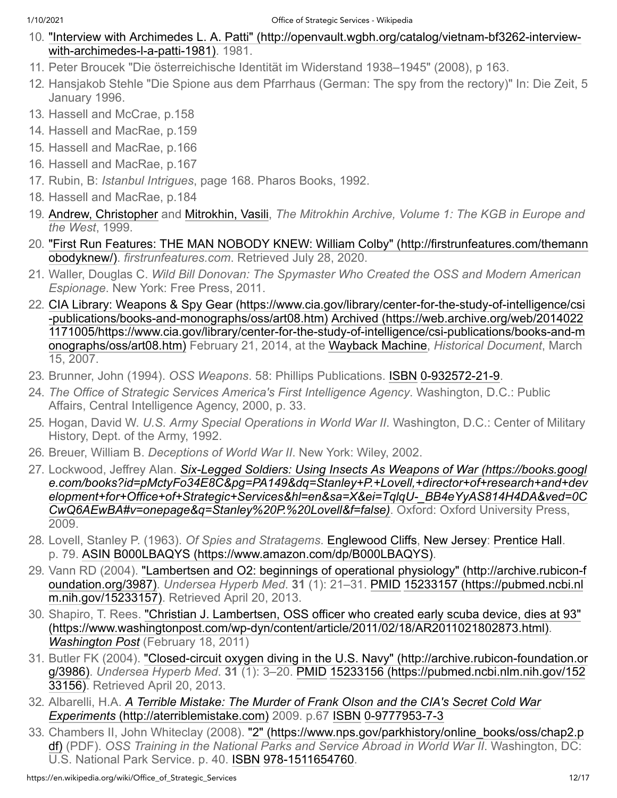- <span id="page-11-0"></span>10. ["Interview with Archimedes L. A. Patti" \(http://openvault.wgbh.org/catalog/vietnam-bf3262-interview](http://openvault.wgbh.org/catalog/vietnam-bf3262-interview-with-archimedes-l-a-patti-1981)with-archimedes-l-a-patti-1981). 1981.
- <span id="page-11-1"></span>11. Peter Broucek "Die österreichische Identität im Widerstand 1938–1945" (2008), p 163.
- <span id="page-11-2"></span>12. Hansjakob Stehle "Die Spione aus dem Pfarrhaus (German: The spy from the rectory)" In: Die Zeit, 5 January 1996.
- <span id="page-11-3"></span>13. Hassell and McCrae, p.158
- <span id="page-11-4"></span>14. Hassell and MacRae, p.159
- <span id="page-11-5"></span>15. Hassell and MacRae, p.166
- <span id="page-11-6"></span>16. Hassell and MacRae, p.167
- <span id="page-11-7"></span>17. Rubin, B: *Istanbul Intrigues*, page 168. Pharos Books, 1992.
- <span id="page-11-8"></span>18. Hassell and MacRae, p.184
- <span id="page-11-9"></span>19. [Andrew, Christopher](https://en.wikipedia.org/wiki/Christopher_Andrew_(historian)) and [Mitrokhin, Vasili,](https://en.wikipedia.org/wiki/Vasili_Mitrokhin) *The Mitrokhin Archive, Volume 1: The KGB in Europe and the West*, 1999.
- <span id="page-11-10"></span>20. ["First Run Features: THE MAN NOBODY KNEW: William Colby" \(http://firstrunfeatures.com/themann](http://firstrunfeatures.com/themannobodyknew/) obodyknew/). *firstrunfeatures.com*. Retrieved July 28, 2020.
- <span id="page-11-11"></span>21. Waller, Douglas C. *Wild Bill Donovan: The Spymaster Who Created the OSS and Modern American Espionage*. New York: Free Press, 2011.
- <span id="page-11-12"></span>22. [CIA Library: Weapons & Spy Gear \(https://www.cia.gov/library/center-for-the-study-of-intelligence/csi](https://www.cia.gov/library/center-for-the-study-of-intelligence/csi-publications/books-and-monographs/oss/art08.htm) -publications/books-and-monographs/oss/art08.htm) Archived (https://web.archive.org/web/2014022 [1171005/https://www.cia.gov/library/center-for-the-study-of-intelligence/csi-publications/books-and-m](https://web.archive.org/web/20140221171005/https://www.cia.gov/library/center-for-the-study-of-intelligence/csi-publications/books-and-monographs/oss/art08.htm) onographs/oss/art08.htm) February 21, 2014, at the [Wayback Machine,](https://en.wikipedia.org/wiki/Wayback_Machine) *Historical Document*, March 15, 2007.
- <span id="page-11-13"></span>23. Brunner, John (1994). *OSS Weapons*. 58: Phillips Publications. [ISBN](https://en.wikipedia.org/wiki/ISBN_(identifier)) [0-932572-21-9](https://en.wikipedia.org/wiki/Special:BookSources/0-932572-21-9).
- <span id="page-11-14"></span>24. *The Office of Strategic Services America's First Intelligence Agency*. Washington, D.C.: Public Affairs, Central Intelligence Agency, 2000, p. 33.
- <span id="page-11-15"></span>25. Hogan, David W. *U.S. Army Special Operations in World War II*. Washington, D.C.: Center of Military History, Dept. of the Army, 1992.
- <span id="page-11-16"></span>26. Breuer, William B. *Deceptions of World War II*. New York: Wiley, 2002.
- <span id="page-11-17"></span>27. Lockwood, Jeffrey Alan. *Six-Legged Soldiers: Using Insects As Weapons of War (https://books.googl [e.com/books?id=pMctyFo34E8C&pg=PA149&dq=Stanley+P.+Lovell,+director+of+research+and+dev](https://books.google.com/books?id=pMctyFo34E8C&pg=PA149&dq=Stanley+P.+Lovell,+director+of+research+and+development+for+Office+of+Strategic+Services&hl=en&sa=X&ei=TqlqU-_BB4eYyAS814H4DA&ved=0CCwQ6AEwBA#v=onepage&q=Stanley%20P.%20Lovell&f=false) elopment+for+Office+of+Strategic+Services&hl=en&sa=X&ei=TqlqU-\_BB4eYyAS814H4DA&ved=0C CwQ6AEwBA#v=onepage&q=Stanley%20P.%20Lovell&f=false)*. Oxford: Oxford University Press, 2009.
- <span id="page-11-18"></span>28. Lovell, Stanley P. (1963). *Of Spies and Stratagems*. [Englewood Cliffs,](https://en.wikipedia.org/wiki/Englewood_Cliffs,_New_Jersey) [New Jersey:](https://en.wikipedia.org/wiki/New_Jersey) [Prentice Hall.](https://en.wikipedia.org/wiki/Prentice_Hall) p. 79. [ASIN](https://en.wikipedia.org/wiki/ASIN_(identifier)) [B000LBAQYS \(https://www.amazon.com/dp/B000LBAQYS\).](https://www.amazon.com/dp/B000LBAQYS)
- <span id="page-11-19"></span>29. [Vann RD \(2004\). "Lambertsen and O2: beginnings of operational physiology" \(http://archive.rubicon-f](http://archive.rubicon-foundation.org/3987) oundation.org/3987). *Undersea Hyperb Med*. **31** (1): 21–31. [PMID](https://en.wikipedia.org/wiki/PMID_(identifier)) 15233157 (https://pubmed.ncbi.nl [m.nih.gov/15233157\). Retrieved April 20, 2013.](https://pubmed.ncbi.nlm.nih.gov/15233157)
- <span id="page-11-20"></span>30. [Shapiro, T. Rees. "Christian J. Lambertsen, OSS officer who created early scuba device, dies at 93"](https://www.washingtonpost.com/wp-dyn/content/article/2011/02/18/AR2011021802873.html) (https://www.washingtonpost.com/wp-dyn/content/article/2011/02/18/AR2011021802873.html). *[Washington Post](https://en.wikipedia.org/wiki/Washington_Post)* (February 18, 2011)
- <span id="page-11-21"></span>31. [Butler FK \(2004\). "Closed-circuit oxygen diving in the U.S. Navy" \(http://archive.rubicon-foundation.or](http://archive.rubicon-foundation.org/3986) g/3986). *Undersea Hyperb Med*. **31** (1): 3–20. [PMID](https://en.wikipedia.org/wiki/PMID_(identifier)) [15233156 \(https://pubmed.ncbi.nlm.nih.gov/152](https://pubmed.ncbi.nlm.nih.gov/15233156) 33156). Retrieved April 20, 2013.
- <span id="page-11-22"></span>32. Albarelli, H.A. *[A Terrible Mistake: The Murder of Frank Olson and the CIA's Secret Cold War](http://aterriblemistake.com/) Experiments* (http://aterriblemistake.com) 2009. p.67 [ISBN](https://en.wikipedia.org/wiki/ISBN_(identifier)) [0-9777953-7-3](https://en.wikipedia.org/wiki/Special:BookSources/0-9777953-7-3)
- <span id="page-11-23"></span>33. [Chambers II, John Whiteclay \(2008\). "2" \(https://www.nps.gov/parkhistory/online\\_books/oss/chap2.p](https://www.nps.gov/parkhistory/online_books/oss/chap2.pdf) df) (PDF). *OSS Training in the National Parks and Service Abroad in World War II*. Washington, DC: U.S. National Park Service. p. 40. [ISBN](https://en.wikipedia.org/wiki/ISBN_(identifier)) [978-1511654760.](https://en.wikipedia.org/wiki/Special:BookSources/978-1511654760)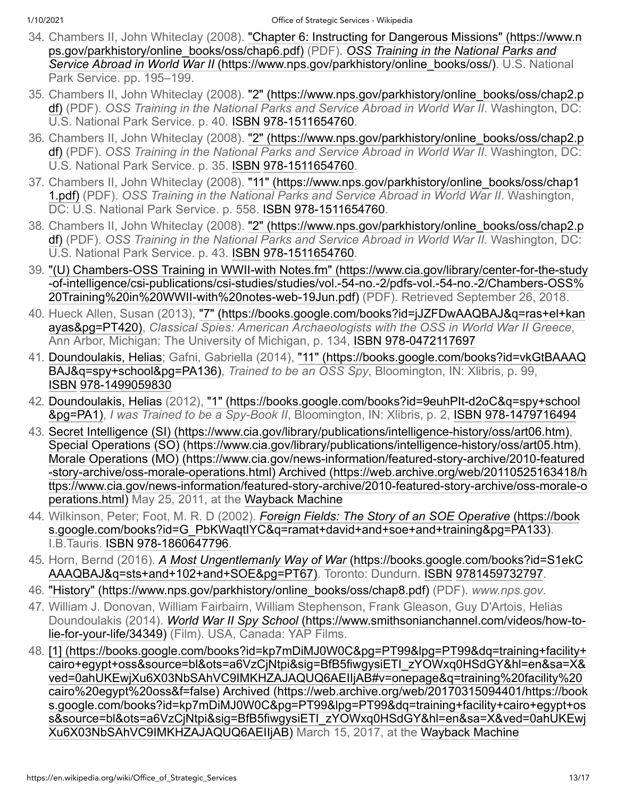- <span id="page-12-0"></span>34. [Chambers II, John Whiteclay \(2008\). "Chapter 6: Instructing for Dangerous Missions" \(https://www.n](https://www.nps.gov/parkhistory/online_books/oss/chap6.pdf) ps.gov/parkhistory/online\_books/oss/chap6.pdf) (PDF). *OSS Training in the National Parks and Service Abroad in World War II* [\(https://www.nps.gov/parkhistory/online\\_books/oss/\). U.S. Natio](https://www.nps.gov/parkhistory/online_books/oss/)nal Park Service. pp. 195–199.
- <span id="page-12-1"></span>35. [Chambers II, John Whiteclay \(2008\). "2" \(https://www.nps.gov/parkhistory/online\\_books/oss/chap2.p](https://www.nps.gov/parkhistory/online_books/oss/chap2.pdf) df) (PDF). *OSS Training in the National Parks and Service Abroad in World War II*. Washington, DC: U.S. National Park Service. p. 40. [ISBN](https://en.wikipedia.org/wiki/ISBN_(identifier)) [978-1511654760.](https://en.wikipedia.org/wiki/Special:BookSources/978-1511654760)
- <span id="page-12-2"></span>36. [Chambers II, John Whiteclay \(2008\). "2" \(https://www.nps.gov/parkhistory/online\\_books/oss/chap2.p](https://www.nps.gov/parkhistory/online_books/oss/chap2.pdf) df) (PDF). *OSS Training in the National Parks and Service Abroad in World War II*. Washington, DC: U.S. National Park Service. p. 35. [ISBN](https://en.wikipedia.org/wiki/ISBN_(identifier)) [978-1511654760.](https://en.wikipedia.org/wiki/Special:BookSources/978-1511654760)
- <span id="page-12-3"></span>37. [Chambers II, John Whiteclay \(2008\). "11" \(https://www.nps.gov/parkhistory/online\\_books/oss/chap1](https://www.nps.gov/parkhistory/online_books/oss/chap11.pdf) 1.pdf) (PDF). *OSS Training in the National Parks and Service Abroad in World War II*. Washington, DC: U.S. National Park Service. p. 558. [ISBN](https://en.wikipedia.org/wiki/ISBN_(identifier)) [978-1511654760](https://en.wikipedia.org/wiki/Special:BookSources/978-1511654760).
- <span id="page-12-4"></span>38. [Chambers II, John Whiteclay \(2008\). "2" \(https://www.nps.gov/parkhistory/online\\_books/oss/chap2.p](https://www.nps.gov/parkhistory/online_books/oss/chap2.pdf) df) (PDF). *OSS Training in the National Parks and Service Abroad in World War II*. Washington, DC: U.S. National Park Service. p. 43. [ISBN](https://en.wikipedia.org/wiki/ISBN_(identifier)) [978-1511654760.](https://en.wikipedia.org/wiki/Special:BookSources/978-1511654760)
- <span id="page-12-5"></span>39. ["\(U\) Chambers-OSS Training in WWII-with Notes.fm" \(https://www.cia.gov/library/center-for-the-study](https://www.cia.gov/library/center-for-the-study-of-intelligence/csi-publications/csi-studies/studies/vol.-54-no.-2/pdfs-vol.-54-no.-2/Chambers-OSS%20Training%20in%20WWII-with%20notes-web-19Jun.pdf) -of-intelligence/csi-publications/csi-studies/studies/vol.-54-no.-2/pdfs-vol.-54-no.-2/Chambers-OSS% 20Training%20in%20WWII-with%20notes-web-19Jun.pdf) (PDF). Retrieved September 26, 2018.
- <span id="page-12-6"></span>40. [Hueck Allen, Susan \(2013\), "7" \(https://books.google.com/books?id=jJZFDwAAQBAJ&q=ras+el+kan](https://books.google.com/books?id=jJZFDwAAQBAJ&q=ras+el+kanayas&pg=PT420) ayas&pg=PT420), *Classical Spies: American Archaeologists with the OSS in World War II Greece*, Ann Arbor, Michigan: The University of Michigan, p. 134, [ISBN](https://en.wikipedia.org/wiki/ISBN_(identifier)) [978-0472117697](https://en.wikipedia.org/wiki/Special:BookSources/978-0472117697)
- <span id="page-12-7"></span>41. [Doundoulakis, Helias](https://en.wikipedia.org/wiki/Helias_Doundoulakis)[; Gafni, Gabriella \(2014\), "11" \(https://books.google.com/books?id=vkGtBAAAQ](https://books.google.com/books?id=vkGtBAAAQBAJ&q=spy+school&pg=PA136) BAJ&q=spy+school&pg=PA136), *Trained to be an OSS Spy*, Bloomington, IN: Xlibris, p. 99, [ISBN](https://en.wikipedia.org/wiki/ISBN_(identifier)) [978-1499059830](https://en.wikipedia.org/wiki/Special:BookSources/978-1499059830)
- <span id="page-12-8"></span>42. [Doundoulakis, Helias](https://en.wikipedia.org/wiki/Helias_Doundoulakis) [\(2012\), "1" \(https://books.google.com/books?id=9euhPIt-d2oC&q=spy+school](https://books.google.com/books?id=9euhPIt-d2oC&q=spy+school&pg=PA1) &pg=PA1), *I was Trained to be a Spy-Book II*, Bloomington, IN: Xlibris, p. 2, [ISBN](https://en.wikipedia.org/wiki/ISBN_(identifier)) [978-1479716494](https://en.wikipedia.org/wiki/Special:BookSources/978-1479716494)
- <span id="page-12-9"></span>43. [Secret Intelligence \(SI\) \(https://www.cia.gov/library/publications/intelligence-history/oss/art06.htm\)](https://www.cia.gov/library/publications/intelligence-history/oss/art06.htm), [Special Operations \(SO\) \(https://www.cia.gov/library/publications/intelligence-history/oss/art05.htm\),](https://www.cia.gov/library/publications/intelligence-history/oss/art05.htm) [Morale Operations \(MO\) \(https://www.cia.gov/news-information/featured-story-archive/2010-featured](https://www.cia.gov/news-information/featured-story-archive/2010-featured-story-archive/oss-morale-operations.html) -story-archive/oss-morale-operations.html) Archived (https://web.archive.org/web/20110525163418/h [ttps://www.cia.gov/news-information/featured-story-archive/2010-featured-story-archive/oss-morale-o](https://web.archive.org/web/20110525163418/https://www.cia.gov/news-information/featured-story-archive/2010-featured-story-archive/oss-morale-operations.html) perations.html) May 25, 2011, at the [Wayback Machine](https://en.wikipedia.org/wiki/Wayback_Machine)
- <span id="page-12-10"></span>44. Wilkinson, Peter; Foot, M. R. D (2002). *Foreign Fields: The Story of an SOE Operative* (https://book [s.google.com/books?id=G\\_PbKWaqtIYC&q=ramat+david+and+soe+and+training&pg=PA133\).](https://books.google.com/books?id=G_PbKWaqtIYC&q=ramat+david+and+soe+and+training&pg=PA133) I.B.Tauris. [ISBN](https://en.wikipedia.org/wiki/ISBN_(identifier)) [978-1860647796.](https://en.wikipedia.org/wiki/Special:BookSources/978-1860647796)
- <span id="page-12-11"></span>45. Horn, Bernd (2016). *A Most Ungentlemanly Way of War* (https://books.google.com/books?id=S1ekC [AAAQBAJ&q=sts+and+102+and+SOE&pg=PT67\). Toronto: Dundurn. ISBN](https://books.google.com/books?id=S1ekCAAAQBAJ&q=sts+and+102+and+SOE&pg=PT67) [9781459732797](https://en.wikipedia.org/wiki/Special:BookSources/9781459732797).
- <span id="page-12-12"></span>46. ["History" \(https://www.nps.gov/parkhistory/online\\_books/oss/chap8.pdf\)](https://www.nps.gov/parkhistory/online_books/oss/chap8.pdf) (PDF). *www.nps.gov*.
- <span id="page-12-13"></span>47. William J. Donovan, William Fairbairn, William Stephenson, Frank Gleason, Guy D'Artois, Helias Doundoulakis (2014). *World War II Spy School* (https://www.smithsonianchannel.com/videos/how-to[lie-for-your-life/34349\) \(Film\). USA, Canada: YAP Films.](https://www.smithsonianchannel.com/videos/how-to-lie-for-your-life/34349)
- <span id="page-12-14"></span>48. [\[1\] \(https://books.google.com/books?id=kp7mDiMJ0W0C&pg=PT99&lpg=PT99&dq=training+facility+](https://books.google.com/books?id=kp7mDiMJ0W0C&pg=PT99&lpg=PT99&dq=training+facility+cairo+egypt+oss&source=bl&ots=a6VzCjNtpi&sig=BfB5fiwgysiETI_zYOWxq0HSdGY&hl=en&sa=X&ved=0ahUKEwjXu6X03NbSAhVC9IMKHZAJAQUQ6AEIIjAB#v=onepage&q=training%20facility%20cairo%20egypt%20oss&f=false) cairo+egypt+oss&source=bl&ots=a6VzCjNtpi&sig=BfB5fiwgysiETI\_zYOWxq0HSdGY&hl=en&sa=X& ved=0ahUKEwjXu6X03NbSAhVC9IMKHZAJAQUQ6AEIIjAB#v=onepage&q=training%20facility%20 cairo%20egypt%20oss&f=false) Archived (https://web.archive.org/web/20170315094401/https://book [s.google.com/books?id=kp7mDiMJ0W0C&pg=PT99&lpg=PT99&dq=training+facility+cairo+egypt+os](https://web.archive.org/web/20170315094401/https://books.google.com/books?id=kp7mDiMJ0W0C&pg=PT99&lpg=PT99&dq=training+facility+cairo+egypt+oss&source=bl&ots=a6VzCjNtpi&sig=BfB5fiwgysiETI_zYOWxq0HSdGY&hl=en&sa=X&ved=0ahUKEwjXu6X03NbSAhVC9IMKHZAJAQUQ6AEIIjAB) s&source=bl&ots=a6VzCjNtpi&sig=BfB5fiwgysiETI\_zYOWxq0HSdGY&hl=en&sa=X&ved=0ahUKEwj Xu6X03NbSAhVC9IMKHZAJAQUQ6AEIIjAB) March 15, 2017, at the [Wayback Machine](https://en.wikipedia.org/wiki/Wayback_Machine)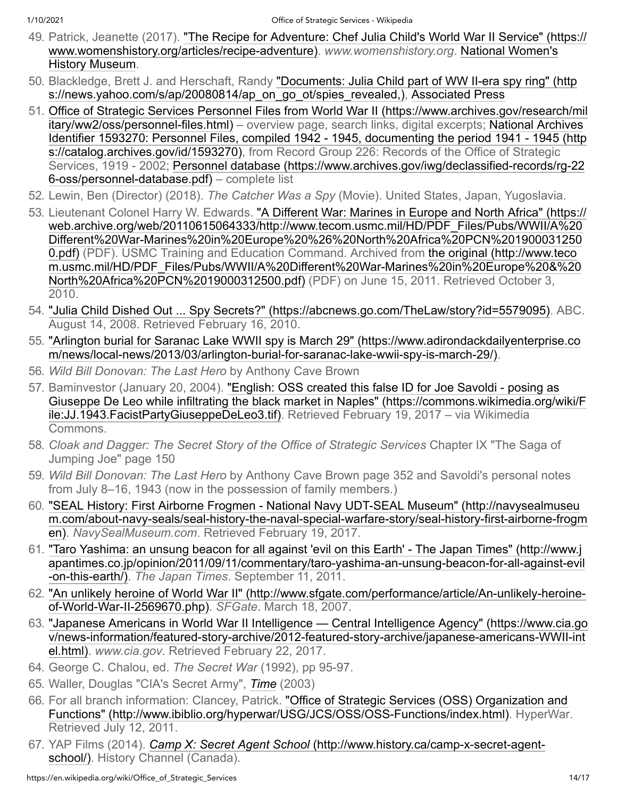- <span id="page-13-0"></span>49. [Patrick, Jeanette \(2017\). "The Recipe for Adventure: Chef Julia Child's World War II Service" \(https://](https://www.womenshistory.org/articles/recipe-adventure) [www.womenshistory.org/articles/recipe-adventure\).](https://en.wikipedia.org/wiki/National_Women%27s_History_Museum) *www.womenshistory.org*. National Women's History Museum.
- <span id="page-13-1"></span>50. [Blackledge, Brett J. and Herschaft, Randy "Documents: Julia Child part of WW II-era spy ring" \(http](https://news.yahoo.com/s/ap/20080814/ap_on_go_ot/spies_revealed,) s://news.yahoo.com/s/ap/20080814/ap\_on\_go\_ot/spies\_revealed,), [Associated Press](https://en.wikipedia.org/wiki/Associated_Press)
- <span id="page-13-2"></span>51. [Office of Strategic Services Personnel Files from World War II \(https://www.archives.gov/research/mil](https://www.archives.gov/research/military/ww2/oss/personnel-files.html) itary/ww2/oss/personnel-files.html) – overview page, search links, digital excerpts; National Archives [Identifier 1593270: Personnel Files, compiled 1942 - 1945, documenting the period 1941 - 1945 \(http](https://catalog.archives.gov/id/1593270) s://catalog.archives.gov/id/1593270), from Record Group 226: Records of the Office of Strategic [Services, 1919 - 2002; Personnel database \(https://www.archives.gov/iwg/declassified-records/rg-22](https://www.archives.gov/iwg/declassified-records/rg-226-oss/personnel-database.pdf) 6-oss/personnel-database.pdf) – complete list
- <span id="page-13-3"></span>52. Lewin, Ben (Director) (2018). *The Catcher Was a Spy* (Movie). United States, Japan, Yugoslavia.
- <span id="page-13-4"></span>53. [Lieutenant Colonel Harry W. Edwards. "A Different War: Marines in Europe and North Africa" \(https://](https://web.archive.org/web/20110615064333/http://www.tecom.usmc.mil/HD/PDF_Files/Pubs/WWII/A%20Different%20War-Marines%20in%20Europe%20%26%20North%20Africa%20PCN%2019000312500.pdf) web.archive.org/web/20110615064333/http://www.tecom.usmc.mil/HD/PDF\_Files/Pubs/WWII/A%20 Different%20War-Marines%20in%20Europe%20%26%20North%20Africa%20PCN%201900031250 0.pdf) (PDF). USMC Training and Education Command. Archived from the original (http://www.teco [m.usmc.mil/HD/PDF\\_Files/Pubs/WWII/A%20Different%20War-Marines%20in%20Europe%20&%20](http://www.tecom.usmc.mil/HD/PDF_Files/Pubs/WWII/A%20Different%20War-Marines%20in%20Europe%20&%20North%20Africa%20PCN%2019000312500.pdf) North%20Africa%20PCN%2019000312500.pdf) (PDF) on June 15, 2011. Retrieved October 3, 2010.
- <span id="page-13-5"></span>54. ["Julia Child Dished Out ... Spy Secrets?" \(https://abcnews.go.com/TheLaw/story?id=5579095\).](https://abcnews.go.com/TheLaw/story?id=5579095) ABC. August 14, 2008. Retrieved February 16, 2010.
- <span id="page-13-6"></span>55. ["Arlington burial for Saranac Lake WWII spy is March 29" \(https://www.adirondackdailyenterprise.co](https://www.adirondackdailyenterprise.com/news/local-news/2013/03/arlington-burial-for-saranac-lake-wwii-spy-is-march-29/) m/news/local-news/2013/03/arlington-burial-for-saranac-lake-wwii-spy-is-march-29/).
- <span id="page-13-7"></span>56. *Wild Bill Donovan: The Last Hero* by Anthony Cave Brown
- <span id="page-13-8"></span>57. Baminvestor (January 20, 2004). "English: OSS created this false ID for Joe Savoldi - posing as [Giuseppe De Leo while infiltrating the black market in Naples" \(https://commons.wikimedia.org/wiki/F](https://commons.wikimedia.org/wiki/File:JJ.1943.FacistPartyGiuseppeDeLeo3.tif) ile:JJ.1943.FacistPartyGiuseppeDeLeo3.tif). Retrieved February 19, 2017 – via Wikimedia Commons.
- <span id="page-13-9"></span>58. *Cloak and Dagger: The Secret Story of the Office of Strategic Services* Chapter IX "The Saga of Jumping Joe" page 150
- <span id="page-13-10"></span>59. *Wild Bill Donovan: The Last Hero* by Anthony Cave Brown page 352 and Savoldi's personal notes from July 8–16, 1943 (now in the possession of family members.)
- <span id="page-13-11"></span>60. "SEAL History: First Airborne Frogmen - National Navy UDT-SEAL Museum" (http://navysealmuseu [m.com/about-navy-seals/seal-history-the-naval-special-warfare-story/seal-history-first-airborne-frogm](http://navysealmuseum.com/about-navy-seals/seal-history-the-naval-special-warfare-story/seal-history-first-airborne-frogmen) en). *NavySealMuseum.com*. Retrieved February 19, 2017.
- <span id="page-13-12"></span>61. "Taro Yashima: an unsung beacon for all against 'evil on this Earth' - The Japan Times" (http://www.j [apantimes.co.jp/opinion/2011/09/11/commentary/taro-yashima-an-unsung-beacon-for-all-against-evil](http://www.japantimes.co.jp/opinion/2011/09/11/commentary/taro-yashima-an-unsung-beacon-for-all-against-evil-on-this-earth/) -on-this-earth/). *The Japan Times*. September 11, 2011.
- <span id="page-13-13"></span>62. ["An unlikely heroine of World War II" \(http://www.sfgate.com/performance/article/An-unlikely-heroine](http://www.sfgate.com/performance/article/An-unlikely-heroine-of-World-War-II-2569670.php)of-World-War-II-2569670.php). *SFGate*. March 18, 2007.
- <span id="page-13-14"></span>63. ["Japanese Americans in World War II Intelligence — Central Intelligence Agency" \(https://www.cia.go](https://www.cia.gov/news-information/featured-story-archive/2012-featured-story-archive/japanese-americans-WWII-intel.html) v/news-information/featured-story-archive/2012-featured-story-archive/japanese-americans-WWII-int el.html). *www.cia.gov*. Retrieved February 22, 2017.
- <span id="page-13-15"></span>64. George C. Chalou, ed. *The Secret War* (1992), pp 95-97.
- <span id="page-13-16"></span>65. Waller, Douglas "CIA's Secret Army", *[Time](https://en.wikipedia.org/wiki/Time_(magazine))* (2003)
- <span id="page-13-17"></span>66. For all branch information: Clancey, Patrick. "Office of Strategic Services (OSS) Organization and [Functions" \(http://www.ibiblio.org/hyperwar/USG/JCS/OSS/OSS-Functions/index.html\). HyperWar](http://www.ibiblio.org/hyperwar/USG/JCS/OSS/OSS-Functions/index.html). Retrieved July 12, 2011.
- <span id="page-13-18"></span>67. YAP Films (2014). *Camp X: Secret Agent School* [\(http://www.history.ca/camp-x-secret-agent](http://www.history.ca/camp-x-secret-agent-school/)school/). History Channel (Canada).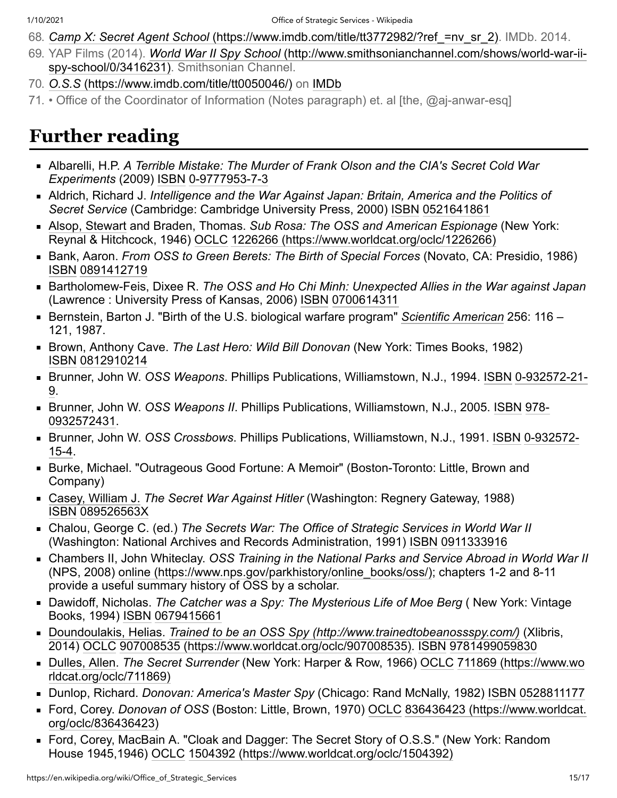- <span id="page-14-1"></span>68. *Camp X: Secret Agent School* [\(https://www.imdb.com/title/tt3772982/?ref\\_=nv\\_sr\\_2\).](https://www.imdb.com/title/tt3772982/?ref_=nv_sr_2) IMDb. 2014.
- <span id="page-14-2"></span>69. YAP Films (2014). *World War II Spy School* [\(http://www.smithsonianchannel.com/shows/world-war-ii](http://www.smithsonianchannel.com/shows/world-war-ii-spy-school/0/3416231)spy-school/0/3416231). Smithsonian Channel.
- <span id="page-14-3"></span>70. *O.S.S* [\(https://www.imdb.com/title/tt0050046/\)](https://www.imdb.com/title/tt0050046/) on [IMDb](https://en.wikipedia.org/wiki/IMDb)
- <span id="page-14-4"></span>71. • Office of the Coordinator of Information (Notes paragraph) et. al [the, @aj-anwar-esq]

# <span id="page-14-0"></span>**Further reading**

- Albarelli, H.P. *A Terrible Mistake: The Murder of Frank Olson and the CIA's Secret Cold War Experiments* (2009) [ISBN](https://en.wikipedia.org/wiki/ISBN_(identifier)) [0-9777953-7-3](https://en.wikipedia.org/wiki/Special:BookSources/0-9777953-7-3)
- Aldrich, Richard J. *Intelligence and the War Against Japan: Britain, America and the Politics of Secret Service* (Cambridge: Cambridge University Press, 2000) [ISBN](https://en.wikipedia.org/wiki/ISBN_(identifier)) [0521641861](https://en.wikipedia.org/wiki/Special:BookSources/0521641861)
- [Alsop, Stewart](https://en.wikipedia.org/wiki/Stewart_Alsop) and Braden, Thomas. *Sub Rosa: The OSS and American Espionage* (New York: Reynal & Hitchcock, 1946) [OCLC](https://en.wikipedia.org/wiki/OCLC_(identifier)) [1226266 \(https://www.worldcat.org/oclc/1226266\)](https://www.worldcat.org/oclc/1226266)
- Bank, Aaron. *From OSS to Green Berets: The Birth of Special Forces* (Novato, CA: Presidio, 1986) [ISBN](https://en.wikipedia.org/wiki/ISBN_(identifier)) [0891412719](https://en.wikipedia.org/wiki/Special:BookSources/0891412719)
- Bartholomew-Feis, Dixee R. *The OSS and Ho Chi Minh: Unexpected Allies in the War against Japan* (Lawrence : University Press of Kansas, 2006) [ISBN](https://en.wikipedia.org/wiki/ISBN_(identifier)) [0700614311](https://en.wikipedia.org/wiki/Special:BookSources/0700614311)
- Bernstein, Barton J. "Birth of the U.S. biological warfare program" *[Scientific American](https://en.wikipedia.org/wiki/Scientific_American)* 256: 116 121, 1987.
- Brown, Anthony Cave. *The Last Hero: Wild Bill Donovan* (New York: Times Books, 1982) [ISBN](https://en.wikipedia.org/wiki/ISBN_(identifier)) [0812910214](https://en.wikipedia.org/wiki/Special:BookSources/0812910214)
- Brunner, John W. *OSS Weapons*[. Phillips Publications, Williamstown, N.J., 1994.](https://en.wikipedia.org/wiki/Special:BookSources/0-932572-21-9) [ISB](https://en.wikipedia.org/wiki/ISBN_(identifier))[N](https://en.wikipedia.org/wiki/Special:BookSources/0-932572-21-9) 0-932572-21- 9.
- Brunner, John W. *OSS Weapons II*[. Phillips Publications, Williamstown, N.J., 2005.](https://en.wikipedia.org/wiki/Special:BookSources/978-0932572431) [ISB](https://en.wikipedia.org/wiki/ISBN_(identifier))[N](https://en.wikipedia.org/wiki/Special:BookSources/978-0932572431) 978-0932572431.
- Brunner, John W. *OSS Crossbows*[. Phillips Publications, Williamstown, N.J., 1991.](https://en.wikipedia.org/wiki/Special:BookSources/0-932572-15-4) [ISBN](https://en.wikipedia.org/wiki/ISBN_(identifier)) 0-932572- 15-4.
- Burke, Michael. "Outrageous Good Fortune: A Memoir" (Boston-Toronto: Little, Brown and Company)
- [Casey, William J.](https://en.wikipedia.org/wiki/William_J._Casey) *The Secret War Against Hitler* (Washington: Regnery Gateway, 1988) [ISBN](https://en.wikipedia.org/wiki/ISBN_(identifier)) [089526563X](https://en.wikipedia.org/wiki/Special:BookSources/089526563X)
- Chalou, George C. (ed.) *The Secrets War: The Office of Strategic Services in World War II* (Washington: National Archives and Records Administration, 1991) [ISBN](https://en.wikipedia.org/wiki/ISBN_(identifier)) [0911333916](https://en.wikipedia.org/wiki/Special:BookSources/0911333916)
- Chambers II, John Whiteclay. *OSS Training in the National Parks and Service Abroad in World War II* (NPS, 2008) [online \(https://www.nps.gov/parkhistory/online\\_books/oss/\)](https://www.nps.gov/parkhistory/online_books/oss/); chapters 1-2 and 8-11 provide a useful summary history of OSS by a scholar.
- Dawidoff, Nicholas. *The Catcher was a Spy: The Mysterious Life of Moe Berg* ( New York: Vintage Books, 1994) [ISBN](https://en.wikipedia.org/wiki/ISBN_(identifier)) [0679415661](https://en.wikipedia.org/wiki/Special:BookSources/0679415661)
- [Doundoulakis, Helias.](https://en.wikipedia.org/wiki/Helias_Doundoulakis) *[Trained to be an OSS Spy \(http://www.trainedtobeanossspy.com/\)](http://www.trainedtobeanossspy.com/)* (Xlibris, 2014) [OCLC](https://en.wikipedia.org/wiki/OCLC_(identifier)) [907008535 \(https://www.worldcat.org/oclc/907008535\)](https://www.worldcat.org/oclc/907008535). [ISBN](https://en.wikipedia.org/wiki/ISBN_(identifier)) [9781499059830](https://en.wikipedia.org/wiki/Special:BookSources/9781499059830)
- [Dulles, Allen.](https://en.wikipedia.org/wiki/Allen_Dulles) *The Secret Surrender* [\(New York: Harper & Row, 1966\) O](https://www.worldcat.org/oclc/711869)[CL](https://en.wikipedia.org/wiki/OCLC_(identifier))[C](https://www.worldcat.org/oclc/711869) 711869 (https://www.wo rldcat.org/oclc/711869)
- Dunlop, Richard. *Donovan: America's Master Spy* (Chicago: Rand McNally, 1982) [ISBN](https://en.wikipedia.org/wiki/ISBN_(identifier)) [0528811177](https://en.wikipedia.org/wiki/Special:BookSources/0528811177)
- Ford, Corey. *Donovan of OSS* [\(Boston: Little, Brown, 1970\) O](https://www.worldcat.org/oclc/836436423)[CLC](https://en.wikipedia.org/wiki/OCLC_(identifier)) 836436423 (https://www.worldcat. org/oclc/836436423)
- Ford, Corey, MacBain A. "Cloak and Dagger: The Secret Story of O.S.S." (New York: Random House 1945,1946) [OCLC](https://en.wikipedia.org/wiki/OCLC_(identifier)) [1504392 \(https://www.worldcat.org/oclc/1504392\)](https://www.worldcat.org/oclc/1504392)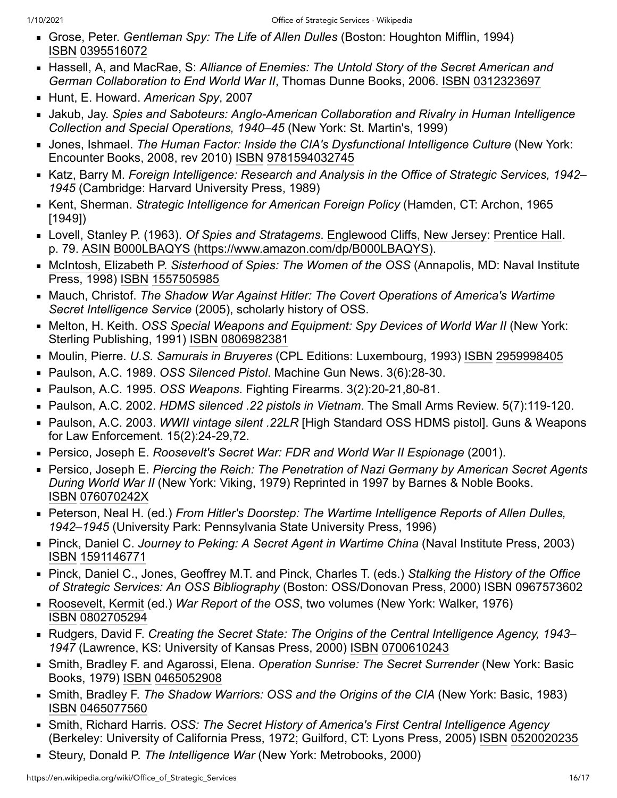- Grose, Peter. *Gentleman Spy: The Life of Allen Dulles* (Boston: Houghton Mifflin, 1994) [ISBN](https://en.wikipedia.org/wiki/ISBN_(identifier)) [0395516072](https://en.wikipedia.org/wiki/Special:BookSources/0395516072)
- Hassell, A, and MacRae, S: *Alliance of Enemies: The Untold Story of the Secret American and German Collaboration to End World War II*, Thomas Dunne Books, 2006. [ISBN](https://en.wikipedia.org/wiki/ISBN_(identifier)) [0312323697](https://en.wikipedia.org/wiki/Special:BookSources/0312323697)
- Hunt, E. Howard. *American Spy*, 2007
- Jakub, Jay. *Spies and Saboteurs: Anglo-American Collaboration and Rivalry in Human Intelligence Collection and Special Operations, 1940–45* (New York: St. Martin's, 1999)
- **Jones, Ishmael.** *The Human Factor: Inside the CIA's Dysfunctional Intelligence Culture* **(New York:** Encounter Books, 2008, rev 2010) [ISBN](https://en.wikipedia.org/wiki/ISBN_(identifier)) [9781594032745](https://en.wikipedia.org/wiki/Special:BookSources/9781594032745)
- Katz, Barry M. *Foreign Intelligence: Research and Analysis in the Office of Strategic Services, 1942 1945* (Cambridge: Harvard University Press, 1989)
- Kent, Sherman. *Strategic Intelligence for American Foreign Policy* (Hamden, CT: Archon, 1965 [1949])
- Lovell, Stanley P. (1963). *Of Spies and Stratagems*. [Englewood Cliffs,](https://en.wikipedia.org/wiki/Englewood_Cliffs,_New_Jersey) [New Jersey:](https://en.wikipedia.org/wiki/New_Jersey) [Prentice Hall.](https://en.wikipedia.org/wiki/Prentice_Hall) p. 79. [ASIN](https://en.wikipedia.org/wiki/ASIN_(identifier)) [B000LBAQYS \(https://www.amazon.com/dp/B000LBAQYS\).](https://www.amazon.com/dp/B000LBAQYS)
- [McIntosh, Elizabeth P.](https://en.wikipedia.org/wiki/Elizabeth_Peet_McIntosh) *Sisterhood of Spies: The Women of the OSS* (Annapolis, MD: Naval Institute Press, 1998) [ISBN](https://en.wikipedia.org/wiki/ISBN_(identifier)) [1557505985](https://en.wikipedia.org/wiki/Special:BookSources/1557505985)
- Mauch, Christof. *The Shadow War Against Hitler: The Covert Operations of America's Wartime Secret Intelligence Service* (2005), scholarly history of OSS.
- Melton, H. Keith. *OSS Special Weapons and Equipment: Spy Devices of World War II* (New York: Sterling Publishing, 1991) [ISBN](https://en.wikipedia.org/wiki/ISBN_(identifier)) [0806982381](https://en.wikipedia.org/wiki/Special:BookSources/0806982381)
- Moulin, Pierre. *U.S. Samurais in Bruyeres* (CPL Editions: Luxembourg, 1993) [ISBN](https://en.wikipedia.org/wiki/ISBN_(identifier)) [2959998405](https://en.wikipedia.org/wiki/Special:BookSources/2959998405)
- Paulson, A.C. 1989. *OSS Silenced Pistol*. Machine Gun News. 3(6):28-30.
- Paulson, A.C. 1995. *OSS Weapons*. Fighting Firearms. 3(2):20-21,80-81.
- Paulson, A.C. 2002. *HDMS silenced .22 pistols in Vietnam*. The Small Arms Review. 5(7):119-120.
- Paulson, A.C. 2003. *WWII vintage silent .22LR* [High Standard OSS HDMS pistol]. Guns & Weapons for Law Enforcement. 15(2):24-29,72.
- Persico, Joseph E. *Roosevelt's Secret War: FDR and World War II Espionage* (2001).
- Persico, Joseph E. *Piercing the Reich: The Penetration of Nazi Germany by American Secret Agents During World War II* (New York: Viking, 1979) Reprinted in 1997 by Barnes & Noble Books. [ISBN](https://en.wikipedia.org/wiki/ISBN_(identifier)) [076070242X](https://en.wikipedia.org/wiki/Special:BookSources/076070242X)
- Peterson, Neal H. (ed.) *From Hitler's Doorstep: The Wartime Intelligence Reports of Allen Dulles, 1942–1945* (University Park: Pennsylvania State University Press, 1996)
- Pinck, Daniel C. *Journey to Peking: A Secret Agent in Wartime China* (Naval Institute Press, 2003) [ISBN](https://en.wikipedia.org/wiki/ISBN_(identifier)) [1591146771](https://en.wikipedia.org/wiki/Special:BookSources/1591146771)
- Pinck, Daniel C., Jones, Geoffrey M.T. and Pinck, Charles T. (eds.) *Stalking the History of the Office of Strategic Services: An OSS Bibliography* (Boston: OSS/Donovan Press, 2000) [ISBN](https://en.wikipedia.org/wiki/ISBN_(identifier)) [0967573602](https://en.wikipedia.org/wiki/Special:BookSources/0967573602)
- [Roosevelt, Kermit](https://en.wikipedia.org/wiki/Kermit_Roosevelt) (ed.) *War Report of the OSS*, two volumes (New York: Walker, 1976) [ISBN](https://en.wikipedia.org/wiki/ISBN_(identifier)) [0802705294](https://en.wikipedia.org/wiki/Special:BookSources/0802705294)
- Rudgers, David F. *Creating the Secret State: The Origins of the Central Intelligence Agency, 1943 1947* (Lawrence, KS: University of Kansas Press, 2000) [ISBN](https://en.wikipedia.org/wiki/ISBN_(identifier)) [0700610243](https://en.wikipedia.org/wiki/Special:BookSources/0700610243)
- Smith, Bradley F. and Agarossi, Elena. *Operation Sunrise: The Secret Surrender* (New York: Basic Books, 1979) [ISBN](https://en.wikipedia.org/wiki/ISBN_(identifier)) [0465052908](https://en.wikipedia.org/wiki/Special:BookSources/0465052908)
- Smith, Bradley F. *The Shadow Warriors: OSS and the Origins of the CIA* (New York: Basic, 1983) [ISBN](https://en.wikipedia.org/wiki/ISBN_(identifier)) [0465077560](https://en.wikipedia.org/wiki/Special:BookSources/0465077560)
- Smith, Richard Harris. *OSS: The Secret History of America's First Central Intelligence Agency* (Berkeley: University of California Press, 1972; Guilford, CT: Lyons Press, 2005) [ISBN](https://en.wikipedia.org/wiki/ISBN_(identifier)) [0520020235](https://en.wikipedia.org/wiki/Special:BookSources/0520020235)
- Steury, Donald P. *The Intelligence War* (New York: Metrobooks, 2000)